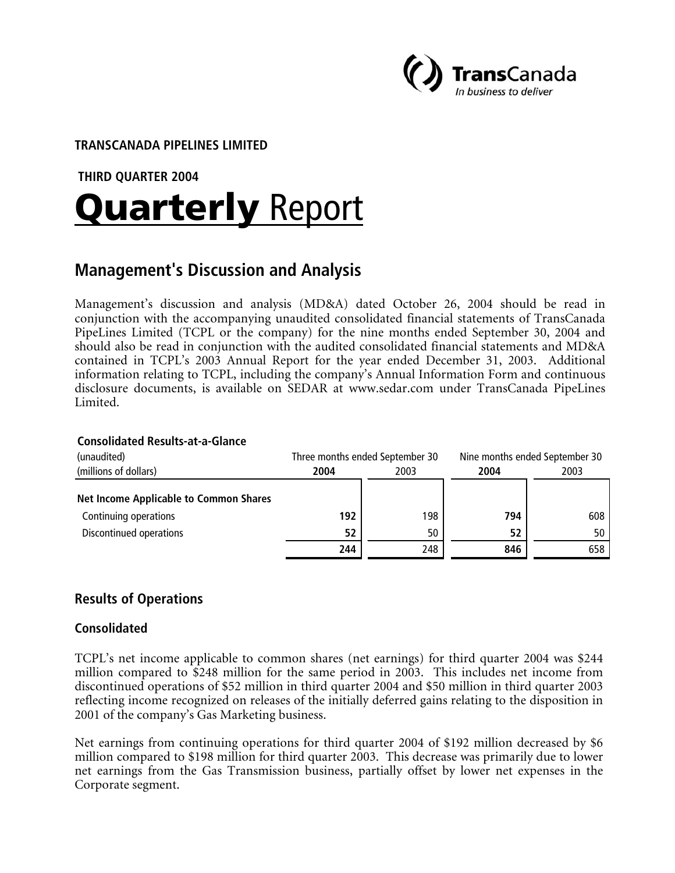

## **TRANSCANADA PIPELINES LIMITED**

#### **THIRD QUARTER 2004**

# **Quarterly Report**

# **Management's Discussion and Analysis**

Management's discussion and analysis (MD&A) dated October 26, 2004 should be read in conjunction with the accompanying unaudited consolidated financial statements of TransCanada PipeLines Limited (TCPL or the company) for the nine months ended September 30, 2004 and should also be read in conjunction with the audited consolidated financial statements and MD&A contained in TCPL's 2003 Annual Report for the year ended December 31, 2003. Additional information relating to TCPL, including the company's Annual Information Form and continuous disclosure documents, is available on SEDAR at www.sedar.com under TransCanada PipeLines Limited.

#### **Consolidated Results-at-a-Glance**

| (unaudited)                                   | Three months ended September 30 |     | Nine months ended September 30 |      |
|-----------------------------------------------|---------------------------------|-----|--------------------------------|------|
| (millions of dollars)                         | 2004<br>2003                    |     | 2004                           | 2003 |
| <b>Net Income Applicable to Common Shares</b> |                                 |     |                                |      |
| Continuing operations                         | 192                             | 198 | 794                            | 608  |
| Discontinued operations                       | 52                              | 50  | 52                             | 50   |
|                                               | 244                             | 248 | 846                            | 658  |

# **Results of Operations**

#### **Consolidated**

TCPL's net income applicable to common shares (net earnings) for third quarter 2004 was \$244 million compared to \$248 million for the same period in 2003. This includes net income from discontinued operations of \$52 million in third quarter 2004 and \$50 million in third quarter 2003 reflecting income recognized on releases of the initially deferred gains relating to the disposition in 2001 of the company's Gas Marketing business.

Net earnings from continuing operations for third quarter 2004 of \$192 million decreased by \$6 million compared to \$198 million for third quarter 2003. This decrease was primarily due to lower net earnings from the Gas Transmission business, partially offset by lower net expenses in the Corporate segment.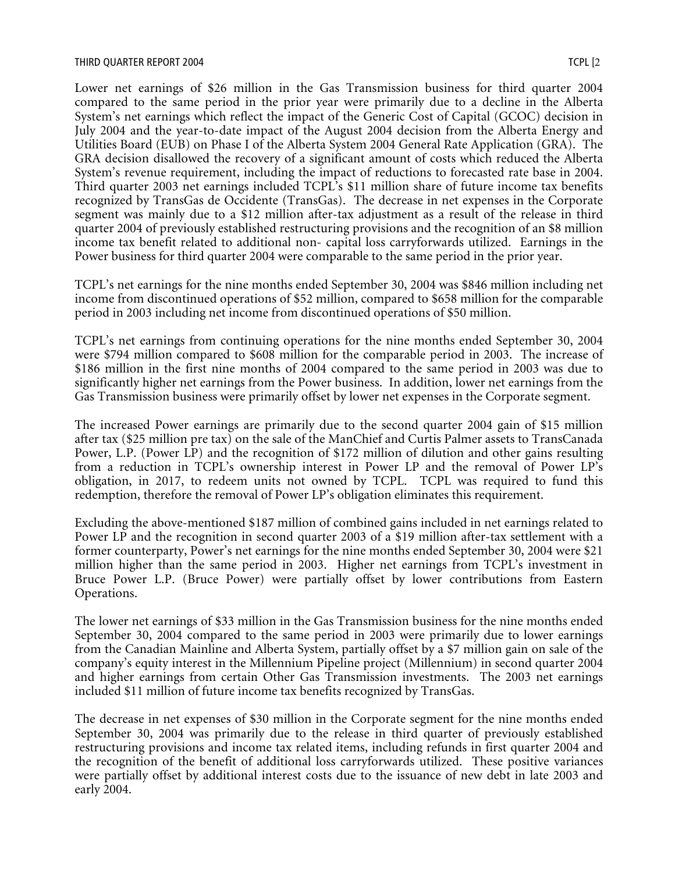Lower net earnings of \$26 million in the Gas Transmission business for third quarter 2004 compared to the same period in the prior year were primarily due to a decline in the Alberta System's net earnings which reflect the impact of the Generic Cost of Capital (GCOC) decision in July 2004 and the year-to-date impact of the August 2004 decision from the Alberta Energy and Utilities Board (EUB) on Phase I of the Alberta System 2004 General Rate Application (GRA). The GRA decision disallowed the recovery of a significant amount of costs which reduced the Alberta System's revenue requirement, including the impact of reductions to forecasted rate base in 2004. Third quarter 2003 net earnings included TCPL's \$11 million share of future income tax benefits recognized by TransGas de Occidente (TransGas). The decrease in net expenses in the Corporate segment was mainly due to a \$12 million after-tax adjustment as a result of the release in third quarter 2004 of previously established restructuring provisions and the recognition of an \$8 million income tax benefit related to additional non- capital loss carryforwards utilized. Earnings in the Power business for third quarter 2004 were comparable to the same period in the prior year.

TCPL's net earnings for the nine months ended September 30, 2004 was \$846 million including net income from discontinued operations of \$52 million, compared to \$658 million for the comparable period in 2003 including net income from discontinued operations of \$50 million.

TCPL's net earnings from continuing operations for the nine months ended September 30, 2004 were \$794 million compared to \$608 million for the comparable period in 2003. The increase of \$186 million in the first nine months of 2004 compared to the same period in 2003 was due to significantly higher net earnings from the Power business. In addition, lower net earnings from the Gas Transmission business were primarily offset by lower net expenses in the Corporate segment.

The increased Power earnings are primarily due to the second quarter 2004 gain of \$15 million after tax (\$25 million pre tax) on the sale of the ManChief and Curtis Palmer assets to TransCanada Power, L.P. (Power LP) and the recognition of \$172 million of dilution and other gains resulting from a reduction in TCPL's ownership interest in Power LP and the removal of Power LP's obligation, in 2017, to redeem units not owned by TCPL. TCPL was required to fund this redemption, therefore the removal of Power LP's obligation eliminates this requirement.

Excluding the above-mentioned \$187 million of combined gains included in net earnings related to Power LP and the recognition in second quarter 2003 of a \$19 million after-tax settlement with a former counterparty, Power's net earnings for the nine months ended September 30, 2004 were \$21 million higher than the same period in 2003. Higher net earnings from TCPL's investment in Bruce Power L.P. (Bruce Power) were partially offset by lower contributions from Eastern Operations.

The lower net earnings of \$33 million in the Gas Transmission business for the nine months ended September 30, 2004 compared to the same period in 2003 were primarily due to lower earnings from the Canadian Mainline and Alberta System, partially offset by a \$7 million gain on sale of the company's equity interest in the Millennium Pipeline project (Millennium) in second quarter 2004 and higher earnings from certain Other Gas Transmission investments. The 2003 net earnings included \$11 million of future income tax benefits recognized by TransGas.

The decrease in net expenses of \$30 million in the Corporate segment for the nine months ended September 30, 2004 was primarily due to the release in third quarter of previously established restructuring provisions and income tax related items, including refunds in first quarter 2004 and the recognition of the benefit of additional loss carryforwards utilized. These positive variances were partially offset by additional interest costs due to the issuance of new debt in late 2003 and early 2004.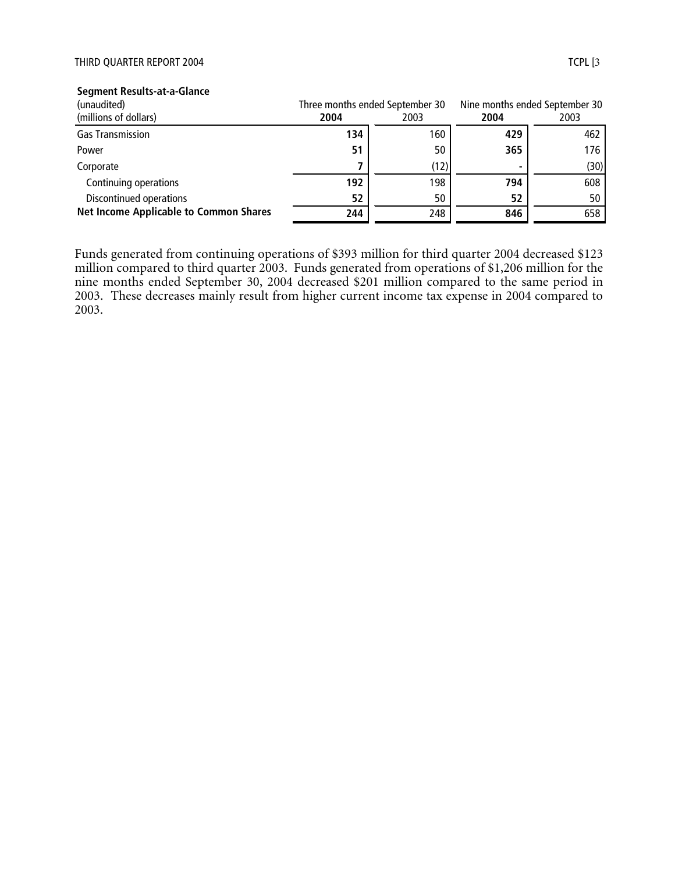#### THIRD QUARTER REPORT 2004 TCPL [3]

| (unaudited)                                   |      | Three months ended September 30 |      | Nine months ended September 30 |
|-----------------------------------------------|------|---------------------------------|------|--------------------------------|
| (millions of dollars)                         | 2004 | 2003                            | 2004 | 2003                           |
| <b>Gas Transmission</b>                       | 134  | 160                             | 429  | 462                            |
| Power                                         | 51   | 50                              | 365  | 176                            |
| Corporate                                     |      | (12)                            |      | (30)                           |
| Continuing operations                         | 192  | 198                             | 794  | 608                            |
| Discontinued operations                       | 52   | 50                              | 52   | 50                             |
| <b>Net Income Applicable to Common Shares</b> | 244  | 248                             | 846  | 658                            |

#### **Segment Results-at-a-Glance**

Funds generated from continuing operations of \$393 million for third quarter 2004 decreased \$123 million compared to third quarter 2003. Funds generated from operations of \$1,206 million for the nine months ended September 30, 2004 decreased \$201 million compared to the same period in 2003. These decreases mainly result from higher current income tax expense in 2004 compared to 2003.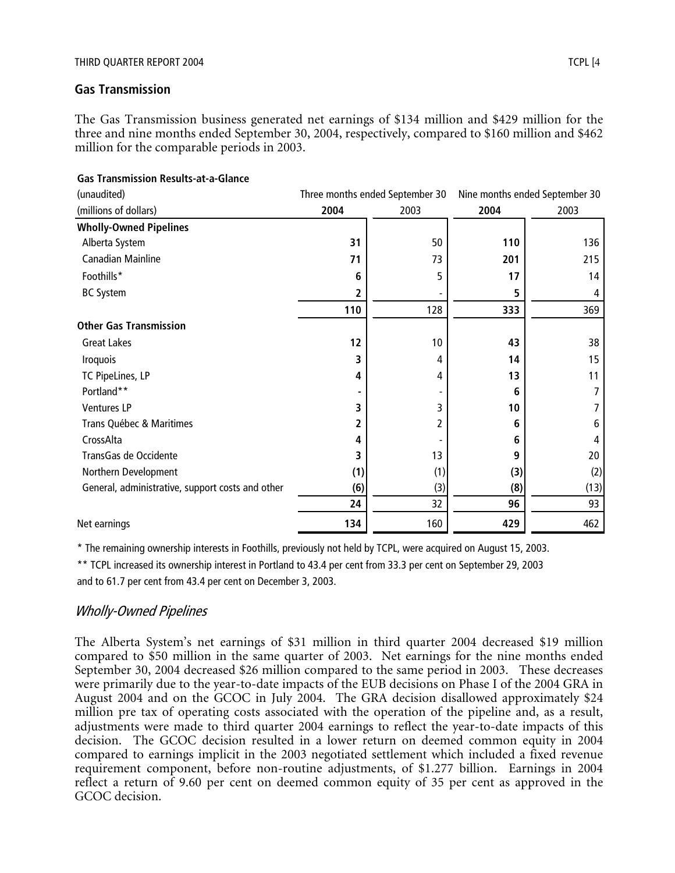#### **Gas Transmission**

The Gas Transmission business generated net earnings of \$134 million and \$429 million for the three and nine months ended September 30, 2004, respectively, compared to \$160 million and \$462 million for the comparable periods in 2003.

| (unaudited)                                      | Three months ended September 30 |      |      | Nine months ended September 30 |
|--------------------------------------------------|---------------------------------|------|------|--------------------------------|
| (millions of dollars)                            | 2004                            | 2003 | 2004 | 2003                           |
| <b>Wholly-Owned Pipelines</b>                    |                                 |      |      |                                |
| Alberta System                                   | 31                              | 50   | 110  | 136                            |
| Canadian Mainline                                | 71                              | 73   | 201  | 215                            |
| Foothills*                                       | 6                               | 5    | 17   | 14                             |
| <b>BC System</b>                                 | 2                               |      | 5    | 4                              |
|                                                  | 110                             | 128  | 333  | 369                            |
| <b>Other Gas Transmission</b>                    |                                 |      |      |                                |
| <b>Great Lakes</b>                               | 12                              | 10   | 43   | 38                             |
| <b>Iroquois</b>                                  | 3                               | 4    | 14   | 15                             |
| TC PipeLines, LP                                 | 4                               | 4    | 13   | 11                             |
| Portland**                                       | ٠                               |      | 6    |                                |
| <b>Ventures LP</b>                               | 3                               | 3    | 10   |                                |
| Trans Québec & Maritimes                         | 2                               | 2    | 6    | 6                              |
| CrossAlta                                        | 4                               |      | 6    | 4                              |
| TransGas de Occidente                            | 3                               | 13   | 9    | 20                             |
| Northern Development                             | (1)                             | (1)  | (3)  | (2)                            |
| General, administrative, support costs and other | (6)                             | (3)  | (8)  | (13)                           |
|                                                  | 24                              | 32   | 96   | 93                             |
| Net earnings                                     | 134                             | 160  | 429  | 462                            |

#### **Gas Transmission Results-at-a-Glance**

\* The remaining ownership interests in Foothills, previously not held by TCPL, were acquired on August 15, 2003.

\*\* TCPL increased its ownership interest in Portland to 43.4 per cent from 33.3 per cent on September 29, 2003

and to 61.7 per cent from 43.4 per cent on December 3, 2003.

## Wholly-Owned Pipelines

The Alberta System's net earnings of \$31 million in third quarter 2004 decreased \$19 million compared to \$50 million in the same quarter of 2003. Net earnings for the nine months ended September 30, 2004 decreased \$26 million compared to the same period in 2003. These decreases were primarily due to the year-to-date impacts of the EUB decisions on Phase I of the 2004 GRA in August 2004 and on the GCOC in July 2004. The GRA decision disallowed approximately \$24 million pre tax of operating costs associated with the operation of the pipeline and, as a result, adjustments were made to third quarter 2004 earnings to reflect the year-to-date impacts of this decision. The GCOC decision resulted in a lower return on deemed common equity in 2004 compared to earnings implicit in the 2003 negotiated settlement which included a fixed revenue requirement component, before non-routine adjustments, of \$1.277 billion. Earnings in 2004 reflect a return of 9.60 per cent on deemed common equity of 35 per cent as approved in the GCOC decision.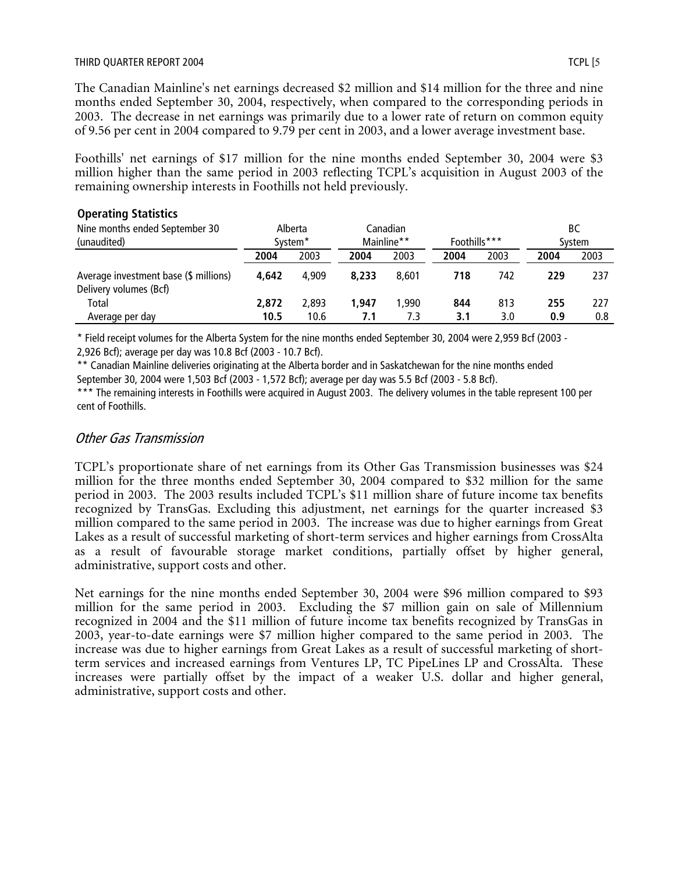#### THIRD QUARTER REPORT 2004 TO A 2004 TO A 2004 TO A 2004 TO A 2004 TO A 2004 TO A 2004 TO A 2004 TO A 2004 TO A 2004

The Canadian Mainline's net earnings decreased \$2 million and \$14 million for the three and nine months ended September 30, 2004, respectively, when compared to the corresponding periods in 2003. The decrease in net earnings was primarily due to a lower rate of return on common equity of 9.56 per cent in 2004 compared to 9.79 per cent in 2003, and a lower average investment base.

Foothills' net earnings of \$17 million for the nine months ended September 30, 2004 were \$3 million higher than the same period in 2003 reflecting TCPL's acquisition in August 2003 of the remaining ownership interests in Foothills not held previously.

#### **Operating Statistics**

| Nine months ended September 30                                  |       | Alberta             |       | Canadian   |              |      |      | ВC     |
|-----------------------------------------------------------------|-------|---------------------|-------|------------|--------------|------|------|--------|
| (unaudited)                                                     |       | System <sup>*</sup> |       | Mainline** | Foothills*** |      |      | System |
|                                                                 | 2004  | 2003                | 2004  | 2003       | 2004         | 2003 | 2004 | 2003   |
| Average investment base (\$ millions)<br>Delivery volumes (Bcf) | 4.642 | 4.909               | 8.233 | 8.601      | 718          | 742  | 229  | 237    |
| Total                                                           | 2,872 | 2.893               | 1.947 | 1.990      | 844          | 813  | 255  | 227    |
| Average per day                                                 | 10.5  | 10.6                | 7.1   | 7.3        | 3.1          | 3.0  | 0.9  | 0.8    |

\* Field receipt volumes for the Alberta System for the nine months ended September 30, 2004 were 2,959 Bcf (2003 - 2,926 Bcf); average per day was 10.8 Bcf (2003 - 10.7 Bcf).

\*\* Canadian Mainline deliveries originating at the Alberta border and in Saskatchewan for the nine months ended September 30, 2004 were 1,503 Bcf (2003 - 1,572 Bcf); average per day was 5.5 Bcf (2003 - 5.8 Bcf).

\*\*\* The remaining interests in Foothills were acquired in August 2003. The delivery volumes in the table represent 100 per cent of Foothills.

## Other Gas Transmission

TCPL's proportionate share of net earnings from its Other Gas Transmission businesses was \$24 million for the three months ended September 30, 2004 compared to \$32 million for the same period in 2003. The 2003 results included TCPL's \$11 million share of future income tax benefits recognized by TransGas. Excluding this adjustment, net earnings for the quarter increased \$3 million compared to the same period in 2003. The increase was due to higher earnings from Great Lakes as a result of successful marketing of short-term services and higher earnings from CrossAlta as a result of favourable storage market conditions, partially offset by higher general, administrative, support costs and other.

Net earnings for the nine months ended September 30, 2004 were \$96 million compared to \$93 million for the same period in 2003. Excluding the \$7 million gain on sale of Millennium recognized in 2004 and the \$11 million of future income tax benefits recognized by TransGas in 2003, year-to-date earnings were \$7 million higher compared to the same period in 2003. The increase was due to higher earnings from Great Lakes as a result of successful marketing of shortterm services and increased earnings from Ventures LP, TC PipeLines LP and CrossAlta. These increases were partially offset by the impact of a weaker U.S. dollar and higher general, administrative, support costs and other.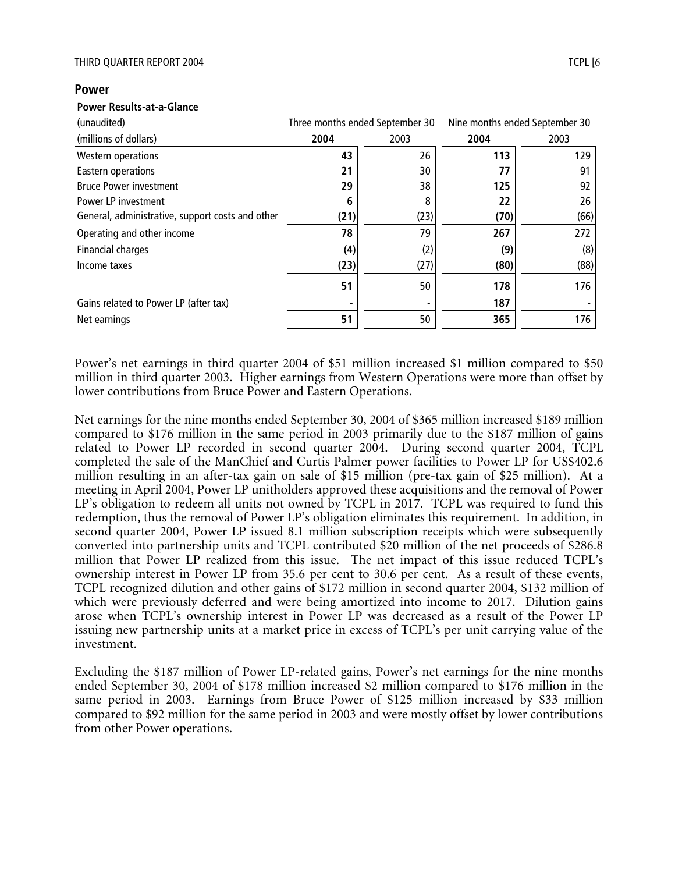#### **Power**

#### **Power Results-at-a-Glance**

| (unaudited)                                      | Three months ended September 30 |      |      | Nine months ended September 30 |
|--------------------------------------------------|---------------------------------|------|------|--------------------------------|
| (millions of dollars)                            | 2004                            | 2003 | 2004 | 2003                           |
| Western operations                               | 43                              | 26   | 113  | 129                            |
| Eastern operations                               | 21                              | 30   | 77   | 91                             |
| <b>Bruce Power investment</b>                    | 29                              | 38   | 125  | 92                             |
| Power LP investment                              | 6                               | 8    | 22   | 26                             |
| General, administrative, support costs and other | (21)                            | (23) | (70) | (66)                           |
| Operating and other income                       | 78                              | 79   | 267  | 272                            |
| Financial charges                                | (4)                             | (2)  | (9)  | (8)                            |
| Income taxes                                     | (23)                            | (27) | (80) | (88)                           |
|                                                  | 51                              | 50   | 178  | 176                            |
| Gains related to Power LP (after tax)            |                                 |      | 187  |                                |
| Net earnings                                     | 51                              | 50   | 365  | 176                            |

Power's net earnings in third quarter 2004 of \$51 million increased \$1 million compared to \$50 million in third quarter 2003. Higher earnings from Western Operations were more than offset by lower contributions from Bruce Power and Eastern Operations.

Net earnings for the nine months ended September 30, 2004 of \$365 million increased \$189 million compared to \$176 million in the same period in 2003 primarily due to the \$187 million of gains related to Power LP recorded in second quarter 2004. During second quarter 2004, TCPL completed the sale of the ManChief and Curtis Palmer power facilities to Power LP for US\$402.6 million resulting in an after-tax gain on sale of \$15 million (pre-tax gain of \$25 million). At a meeting in April 2004, Power LP unitholders approved these acquisitions and the removal of Power LP's obligation to redeem all units not owned by TCPL in 2017. TCPL was required to fund this redemption, thus the removal of Power LP's obligation eliminates this requirement. In addition, in second quarter 2004, Power LP issued 8.1 million subscription receipts which were subsequently converted into partnership units and TCPL contributed \$20 million of the net proceeds of \$286.8 million that Power LP realized from this issue. The net impact of this issue reduced TCPL's ownership interest in Power LP from 35.6 per cent to 30.6 per cent. As a result of these events, TCPL recognized dilution and other gains of \$172 million in second quarter 2004, \$132 million of which were previously deferred and were being amortized into income to 2017. Dilution gains arose when TCPL's ownership interest in Power LP was decreased as a result of the Power LP issuing new partnership units at a market price in excess of TCPL's per unit carrying value of the investment.

Excluding the \$187 million of Power LP-related gains, Power's net earnings for the nine months ended September 30, 2004 of \$178 million increased \$2 million compared to \$176 million in the same period in 2003. Earnings from Bruce Power of \$125 million increased by \$33 million compared to \$92 million for the same period in 2003 and were mostly offset by lower contributions from other Power operations.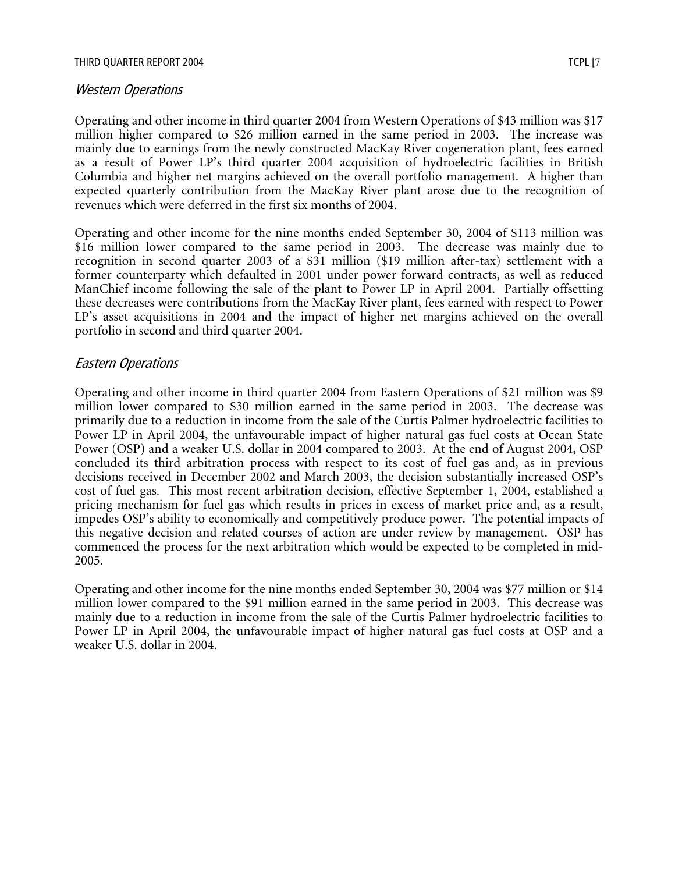#### THIRD QUARTER REPORT 2004 TO THE REPORT 2004 TO THE REPORT OF A SERIES AND TO THE REPORT OF A SERIES OF A SERIES OF A SERIES OF A SERIES OF A SERIES OF A SERIES OF A SERIES OF A SERIES OF A SERIES OF A SERIES OF A SERIES O

#### Western Operations

Operating and other income in third quarter 2004 from Western Operations of \$43 million was \$17 million higher compared to \$26 million earned in the same period in 2003. The increase was mainly due to earnings from the newly constructed MacKay River cogeneration plant, fees earned as a result of Power LP's third quarter 2004 acquisition of hydroelectric facilities in British Columbia and higher net margins achieved on the overall portfolio management. A higher than expected quarterly contribution from the MacKay River plant arose due to the recognition of revenues which were deferred in the first six months of 2004.

Operating and other income for the nine months ended September 30, 2004 of \$113 million was \$16 million lower compared to the same period in 2003. The decrease was mainly due to recognition in second quarter 2003 of a \$31 million (\$19 million after-tax) settlement with a former counterparty which defaulted in 2001 under power forward contracts, as well as reduced ManChief income following the sale of the plant to Power LP in April 2004. Partially offsetting these decreases were contributions from the MacKay River plant, fees earned with respect to Power LP's asset acquisitions in 2004 and the impact of higher net margins achieved on the overall portfolio in second and third quarter 2004.

#### Eastern Operations

Operating and other income in third quarter 2004 from Eastern Operations of \$21 million was \$9 million lower compared to \$30 million earned in the same period in 2003. The decrease was primarily due to a reduction in income from the sale of the Curtis Palmer hydroelectric facilities to Power LP in April 2004, the unfavourable impact of higher natural gas fuel costs at Ocean State Power (OSP) and a weaker U.S. dollar in 2004 compared to 2003. At the end of August 2004, OSP concluded its third arbitration process with respect to its cost of fuel gas and, as in previous decisions received in December 2002 and March 2003, the decision substantially increased OSP's cost of fuel gas. This most recent arbitration decision, effective September 1, 2004, established a pricing mechanism for fuel gas which results in prices in excess of market price and, as a result, impedes OSP's ability to economically and competitively produce power. The potential impacts of this negative decision and related courses of action are under review by management. OSP has commenced the process for the next arbitration which would be expected to be completed in mid-2005.

Operating and other income for the nine months ended September 30, 2004 was \$77 million or \$14 million lower compared to the \$91 million earned in the same period in 2003. This decrease was mainly due to a reduction in income from the sale of the Curtis Palmer hydroelectric facilities to Power LP in April 2004, the unfavourable impact of higher natural gas fuel costs at OSP and a weaker U.S. dollar in 2004.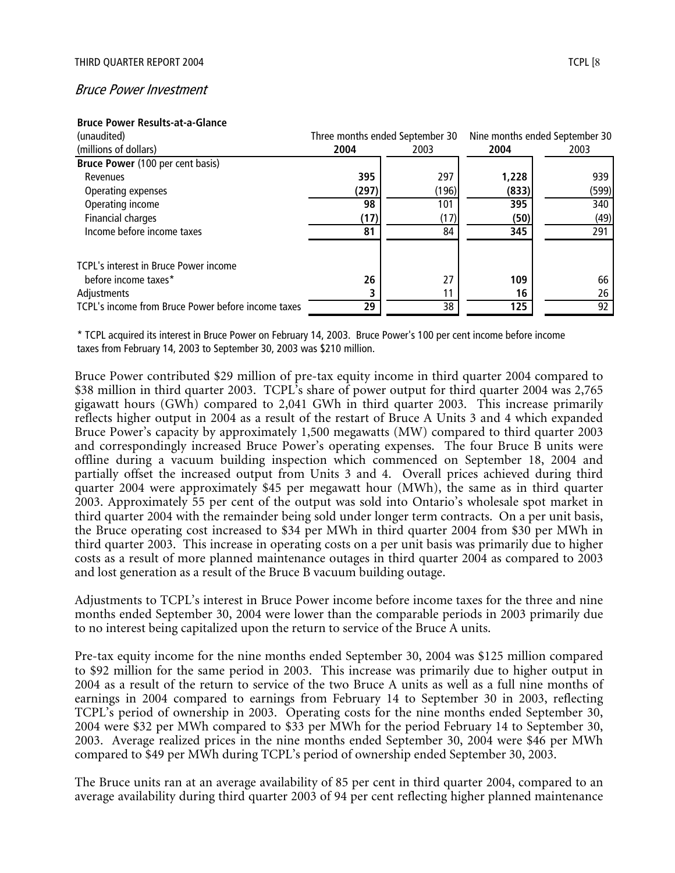#### Bruce Power Investment

#### **Bruce Power Results-at-a-Glance**

| (unaudited)                                        | Three months ended September 30 |       |       | Nine months ended September 30 |
|----------------------------------------------------|---------------------------------|-------|-------|--------------------------------|
| (millions of dollars)                              | 2004                            | 2003  | 2004  | 2003                           |
| Bruce Power (100 per cent basis)                   |                                 |       |       |                                |
| Revenues                                           | 395                             | 297   | 1,228 | 939                            |
| Operating expenses                                 | (297)                           | (196) | (833) | (599)                          |
| Operating income                                   | 98                              | 101   | 395   | 340                            |
| <b>Financial charges</b>                           | (17)                            | (17)  | (50)  | (49)                           |
| Income before income taxes                         | 81                              | 84    | 345   | 291                            |
| TCPL's interest in Bruce Power income              |                                 |       |       |                                |
| before income taxes*                               | 26                              | 27    | 109   | 66                             |
| Adjustments                                        |                                 |       | 16    | 26                             |
| TCPL's income from Bruce Power before income taxes | 29                              | 38    | 125   | 92                             |

\* TCPL acquired its interest in Bruce Power on February 14, 2003. Bruce Power's 100 per cent income before income taxes from February 14, 2003 to September 30, 2003 was \$210 million.

Bruce Power contributed \$29 million of pre-tax equity income in third quarter 2004 compared to \$38 million in third quarter 2003. TCPL's share of power output for third quarter 2004 was 2,765 gigawatt hours (GWh) compared to 2,041 GWh in third quarter 2003. This increase primarily reflects higher output in 2004 as a result of the restart of Bruce A Units 3 and 4 which expanded Bruce Power's capacity by approximately 1,500 megawatts (MW) compared to third quarter 2003 and correspondingly increased Bruce Power's operating expenses. The four Bruce B units were offline during a vacuum building inspection which commenced on September 18, 2004 and partially offset the increased output from Units 3 and 4. Overall prices achieved during third quarter 2004 were approximately \$45 per megawatt hour (MWh), the same as in third quarter 2003. Approximately 55 per cent of the output was sold into Ontario's wholesale spot market in third quarter 2004 with the remainder being sold under longer term contracts. On a per unit basis, the Bruce operating cost increased to \$34 per MWh in third quarter 2004 from \$30 per MWh in third quarter 2003. This increase in operating costs on a per unit basis was primarily due to higher costs as a result of more planned maintenance outages in third quarter 2004 as compared to 2003 and lost generation as a result of the Bruce B vacuum building outage.

Adjustments to TCPL's interest in Bruce Power income before income taxes for the three and nine months ended September 30, 2004 were lower than the comparable periods in 2003 primarily due to no interest being capitalized upon the return to service of the Bruce A units.

Pre-tax equity income for the nine months ended September 30, 2004 was \$125 million compared to \$92 million for the same period in 2003. This increase was primarily due to higher output in 2004 as a result of the return to service of the two Bruce A units as well as a full nine months of earnings in 2004 compared to earnings from February 14 to September 30 in 2003, reflecting TCPL's period of ownership in 2003. Operating costs for the nine months ended September 30, 2004 were \$32 per MWh compared to \$33 per MWh for the period February 14 to September 30, 2003. Average realized prices in the nine months ended September 30, 2004 were \$46 per MWh compared to \$49 per MWh during TCPL's period of ownership ended September 30, 2003.

The Bruce units ran at an average availability of 85 per cent in third quarter 2004, compared to an average availability during third quarter 2003 of 94 per cent reflecting higher planned maintenance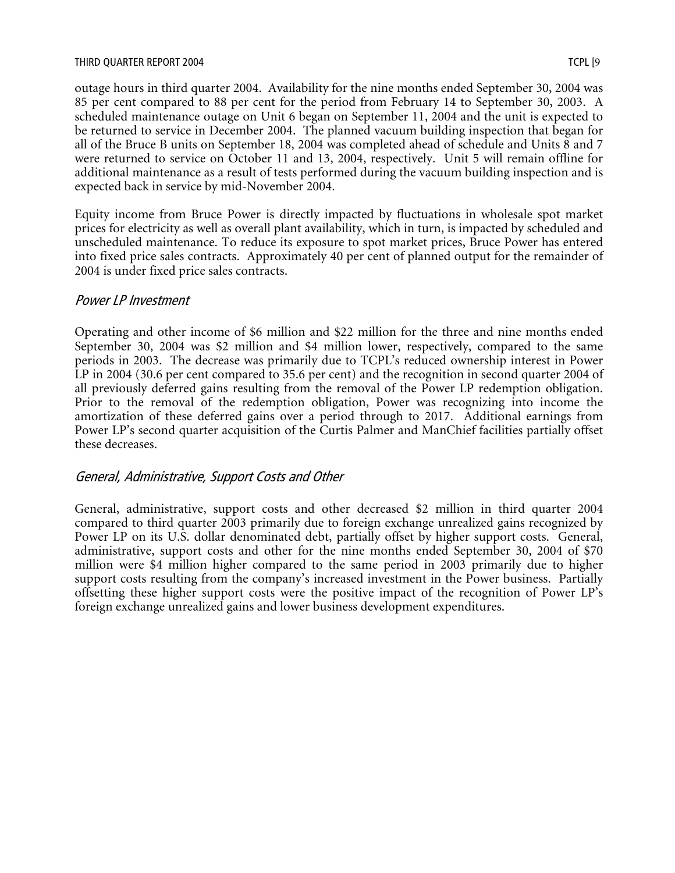#### THIRD QUARTER REPORT 2004 TCPL [9

outage hours in third quarter 2004. Availability for the nine months ended September 30, 2004 was 85 per cent compared to 88 per cent for the period from February 14 to September 30, 2003. A scheduled maintenance outage on Unit 6 began on September 11, 2004 and the unit is expected to be returned to service in December 2004. The planned vacuum building inspection that began for all of the Bruce B units on September 18, 2004 was completed ahead of schedule and Units 8 and 7 were returned to service on October 11 and 13, 2004, respectively. Unit 5 will remain offline for additional maintenance as a result of tests performed during the vacuum building inspection and is expected back in service by mid-November 2004.

Equity income from Bruce Power is directly impacted by fluctuations in wholesale spot market prices for electricity as well as overall plant availability, which in turn, is impacted by scheduled and unscheduled maintenance. To reduce its exposure to spot market prices, Bruce Power has entered into fixed price sales contracts. Approximately 40 per cent of planned output for the remainder of 2004 is under fixed price sales contracts.

#### Power LP Investment

Operating and other income of \$6 million and \$22 million for the three and nine months ended September 30, 2004 was \$2 million and \$4 million lower, respectively, compared to the same periods in 2003. The decrease was primarily due to TCPL's reduced ownership interest in Power LP in 2004 (30.6 per cent compared to 35.6 per cent) and the recognition in second quarter 2004 of all previously deferred gains resulting from the removal of the Power LP redemption obligation. Prior to the removal of the redemption obligation, Power was recognizing into income the amortization of these deferred gains over a period through to 2017. Additional earnings from Power LP's second quarter acquisition of the Curtis Palmer and ManChief facilities partially offset these decreases.

## General, Administrative, Support Costs and Other

General, administrative, support costs and other decreased \$2 million in third quarter 2004 compared to third quarter 2003 primarily due to foreign exchange unrealized gains recognized by Power LP on its U.S. dollar denominated debt, partially offset by higher support costs. General, administrative, support costs and other for the nine months ended September 30, 2004 of \$70 million were \$4 million higher compared to the same period in 2003 primarily due to higher support costs resulting from the company's increased investment in the Power business. Partially offsetting these higher support costs were the positive impact of the recognition of Power LP's foreign exchange unrealized gains and lower business development expenditures.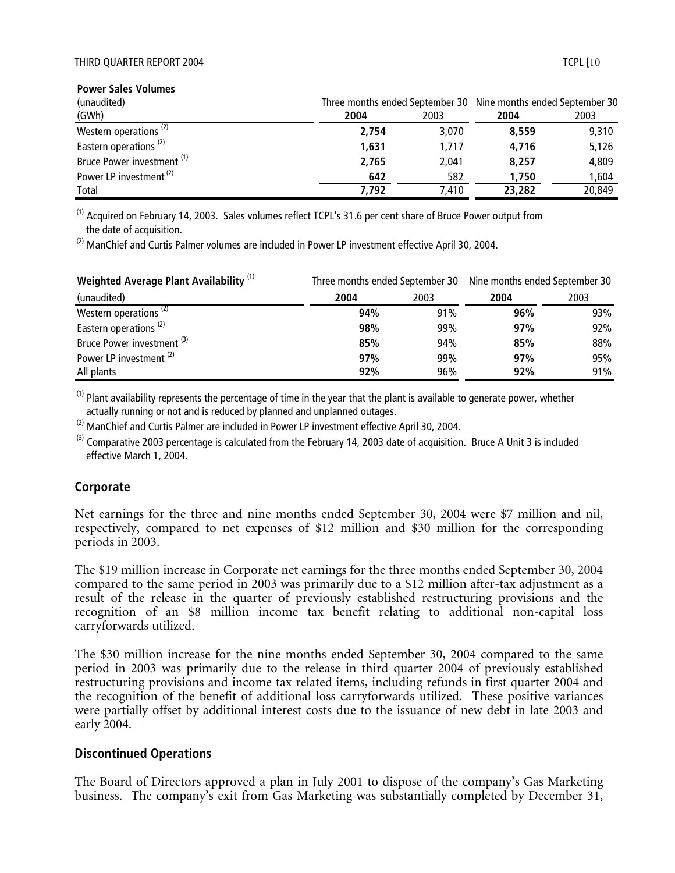#### THIRD QUARTER REPORT 2004 TCPL [10

**Power Sales Volumes**

| (unaudited)                           |       |       | Three months ended September 30 Nine months ended September 30 |        |
|---------------------------------------|-------|-------|----------------------------------------------------------------|--------|
| (GWh)                                 | 2004  | 2003  | 2004                                                           | 2003   |
| Western operations <sup>(2)</sup>     | 2.754 | 3,070 | 8,559                                                          | 9,310  |
| Eastern operations <sup>(2)</sup>     | 1,631 | 1.717 | 4.716                                                          | 5,126  |
| Bruce Power investment <sup>(1)</sup> | 2,765 | 2.041 | 8,257                                                          | 4,809  |
| Power LP investment <sup>(2)</sup>    | 642   | 582   | 1,750                                                          | 1.604  |
| Total                                 | 7.792 | 7.410 | 23,282                                                         | 20,849 |

(1) Acquired on February 14, 2003. Sales volumes reflect TCPL's 31.6 per cent share of Bruce Power output from the date of acquisition.

 $^{(2)}$  ManChief and Curtis Palmer volumes are included in Power LP investment effective April 30, 2004.

| <b>Weighted Average Plant Availability</b> <sup>(1)</sup> |      |      | Three months ended September 30 Nine months ended September 30 |      |  |  |
|-----------------------------------------------------------|------|------|----------------------------------------------------------------|------|--|--|
| (unaudited)                                               | 2004 | 2003 | 2004                                                           | 2003 |  |  |
| Western operations <sup>(2)</sup>                         | 94%  | 91%  | 96%                                                            | 93%  |  |  |
| Eastern operations <sup>(2)</sup>                         | 98%  | 99%  | 97%                                                            | 92%  |  |  |
| Bruce Power investment <sup>(3)</sup>                     | 85%  | 94%  | 85%                                                            | 88%  |  |  |
| Power LP investment <sup>(2)</sup>                        | 97%  | 99%  | 97%                                                            | 95%  |  |  |
| All plants                                                | 92%  | 96%  | 92%                                                            | 91%  |  |  |

 $<sup>(1)</sup>$  Plant availability represents the percentage of time in the year that the plant is available to generate power, whether</sup> actually running or not and is reduced by planned and unplanned outages.

 $(2)$  ManChief and Curtis Palmer are included in Power LP investment effective April 30, 2004.

 $^{(3)}$  Comparative 2003 percentage is calculated from the February 14, 2003 date of acquisition. Bruce A Unit 3 is included effective March 1, 2004.

#### **Corporate**

Net earnings for the three and nine months ended September 30, 2004 were \$7 million and nil, respectively, compared to net expenses of \$12 million and \$30 million for the corresponding periods in 2003.

The \$19 million increase in Corporate net earnings for the three months ended September 30, 2004 compared to the same period in 2003 was primarily due to a \$12 million after-tax adjustment as a result of the release in the quarter of previously established restructuring provisions and the recognition of an \$8 million income tax benefit relating to additional non-capital loss carryforwards utilized.

The \$30 million increase for the nine months ended September 30, 2004 compared to the same period in 2003 was primarily due to the release in third quarter 2004 of previously established restructuring provisions and income tax related items, including refunds in first quarter 2004 and the recognition of the benefit of additional loss carryforwards utilized. These positive variances were partially offset by additional interest costs due to the issuance of new debt in late 2003 and early 2004.

#### **Discontinued Operations**

The Board of Directors approved a plan in July 2001 to dispose of the company's Gas Marketing business. The company's exit from Gas Marketing was substantially completed by December 31,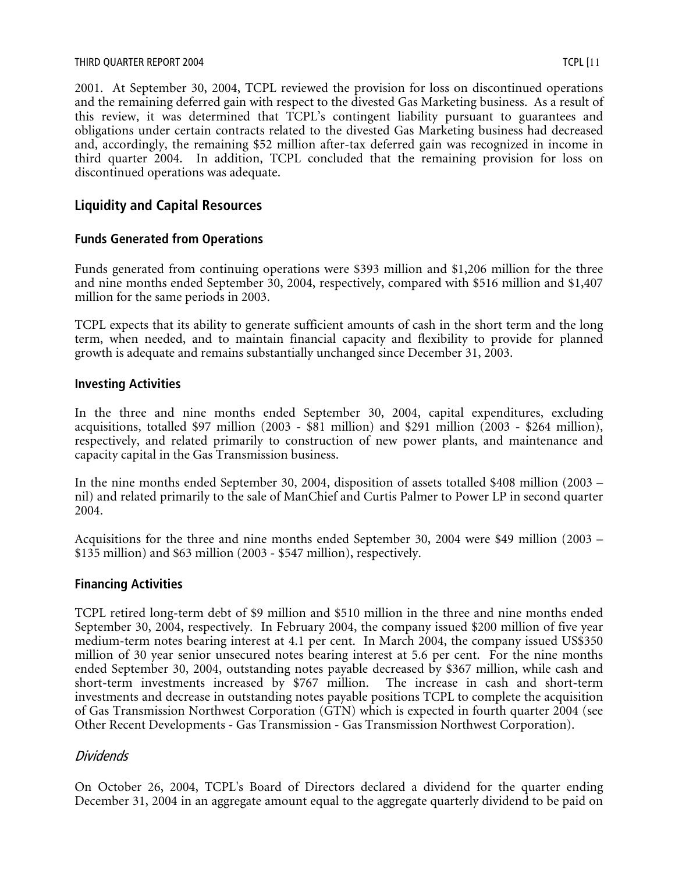#### THIRD QUARTER REPORT 2004 TCPL [11

2001. At September 30, 2004, TCPL reviewed the provision for loss on discontinued operations and the remaining deferred gain with respect to the divested Gas Marketing business. As a result of this review, it was determined that TCPL's contingent liability pursuant to guarantees and obligations under certain contracts related to the divested Gas Marketing business had decreased and, accordingly, the remaining \$52 million after-tax deferred gain was recognized in income in third quarter 2004. In addition, TCPL concluded that the remaining provision for loss on discontinued operations was adequate.

# **Liquidity and Capital Resources**

#### **Funds Generated from Operations**

Funds generated from continuing operations were \$393 million and \$1,206 million for the three and nine months ended September 30, 2004, respectively, compared with \$516 million and \$1,407 million for the same periods in 2003.

TCPL expects that its ability to generate sufficient amounts of cash in the short term and the long term, when needed, and to maintain financial capacity and flexibility to provide for planned growth is adequate and remains substantially unchanged since December 31, 2003.

#### **Investing Activities**

In the three and nine months ended September 30, 2004, capital expenditures, excluding acquisitions, totalled \$97 million (2003 -  $\frac{1}{881}$  million) and \$291 million (2003 - \$264 million), respectively, and related primarily to construction of new power plants, and maintenance and capacity capital in the Gas Transmission business.

In the nine months ended September 30, 2004, disposition of assets totalled \$408 million (2003 – nil) and related primarily to the sale of ManChief and Curtis Palmer to Power LP in second quarter 2004.

Acquisitions for the three and nine months ended September 30, 2004 were \$49 million (2003 – \$135 million) and \$63 million (2003 - \$547 million), respectively.

#### **Financing Activities**

TCPL retired long-term debt of \$9 million and \$510 million in the three and nine months ended September 30, 2004, respectively. In February 2004, the company issued \$200 million of five year medium-term notes bearing interest at 4.1 per cent. In March 2004, the company issued US\$350 million of 30 year senior unsecured notes bearing interest at 5.6 per cent. For the nine months ended September 30, 2004, outstanding notes payable decreased by \$367 million, while cash and short-term investments increased by \$767 million. The increase in cash and short-term investments and decrease in outstanding notes payable positions TCPL to complete the acquisition of Gas Transmission Northwest Corporation (GTN) which is expected in fourth quarter 2004 (see Other Recent Developments - Gas Transmission - Gas Transmission Northwest Corporation).

## Dividends

On October 26, 2004, TCPL's Board of Directors declared a dividend for the quarter ending December 31, 2004 in an aggregate amount equal to the aggregate quarterly dividend to be paid on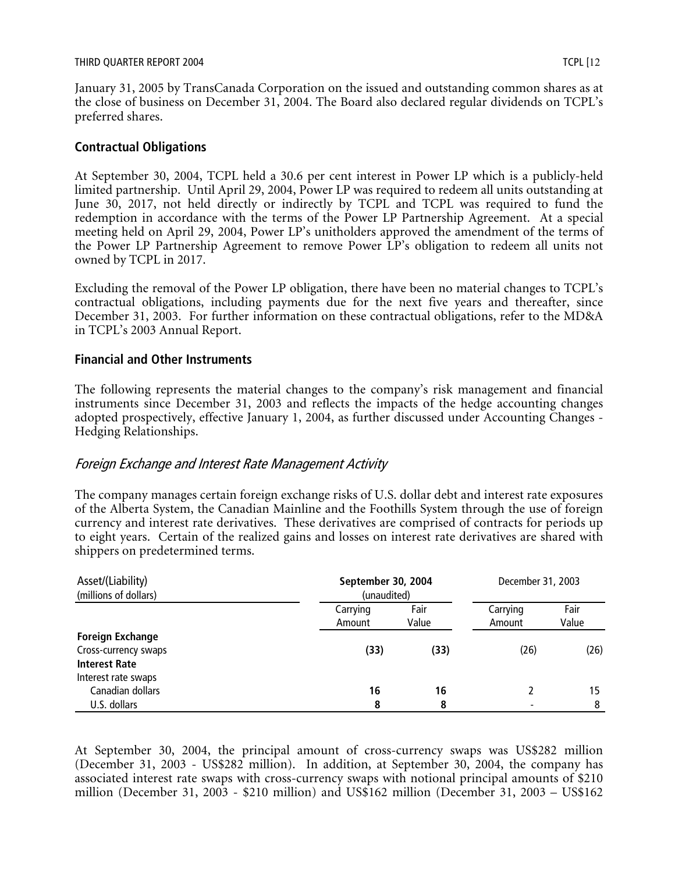January 31, 2005 by TransCanada Corporation on the issued and outstanding common shares as at the close of business on December 31, 2004. The Board also declared regular dividends on TCPL's preferred shares.

## **Contractual Obligations**

At September 30, 2004, TCPL held a 30.6 per cent interest in Power LP which is a publicly-held limited partnership. Until April 29, 2004, Power LP was required to redeem all units outstanding at June 30, 2017, not held directly or indirectly by TCPL and TCPL was required to fund the redemption in accordance with the terms of the Power LP Partnership Agreement. At a special meeting held on April 29, 2004, Power LP's unitholders approved the amendment of the terms of the Power LP Partnership Agreement to remove Power LP's obligation to redeem all units not owned by TCPL in 2017.

Excluding the removal of the Power LP obligation, there have been no material changes to TCPL's contractual obligations, including payments due for the next five years and thereafter, since December 31, 2003. For further information on these contractual obligations, refer to the MD&A in TCPL's 2003 Annual Report.

## **Financial and Other Instruments**

The following represents the material changes to the company's risk management and financial instruments since December 31, 2003 and reflects the impacts of the hedge accounting changes adopted prospectively, effective January 1, 2004, as further discussed under Accounting Changes - Hedging Relationships.

## Foreign Exchange and Interest Rate Management Activity

The company manages certain foreign exchange risks of U.S. dollar debt and interest rate exposures of the Alberta System, the Canadian Mainline and the Foothills System through the use of foreign currency and interest rate derivatives. These derivatives are comprised of contracts for periods up to eight years. Certain of the realized gains and losses on interest rate derivatives are shared with shippers on predetermined terms.

| Asset/(Liability)<br>(millions of dollars)                              |                    | September 30, 2004<br>(unaudited) |                    | December 31, 2003 |
|-------------------------------------------------------------------------|--------------------|-----------------------------------|--------------------|-------------------|
|                                                                         | Carrying<br>Amount | Fair<br>Value                     | Carrying<br>Amount | Fair<br>Value     |
| <b>Foreign Exchange</b><br>Cross-currency swaps<br><b>Interest Rate</b> | (33)               | (33)                              | (26)               | (26)              |
| Interest rate swaps<br>Canadian dollars<br>U.S. dollars                 | 16<br>8            | 16<br>8                           |                    | 15                |

At September 30, 2004, the principal amount of cross-currency swaps was US\$282 million (December 31, 2003 - US\$282 million). In addition, at September 30, 2004, the company has associated interest rate swaps with cross-currency swaps with notional principal amounts of \$210 million (December 31, 2003 - \$210 million) and US\$162 million (December 31, 2003 – US\$162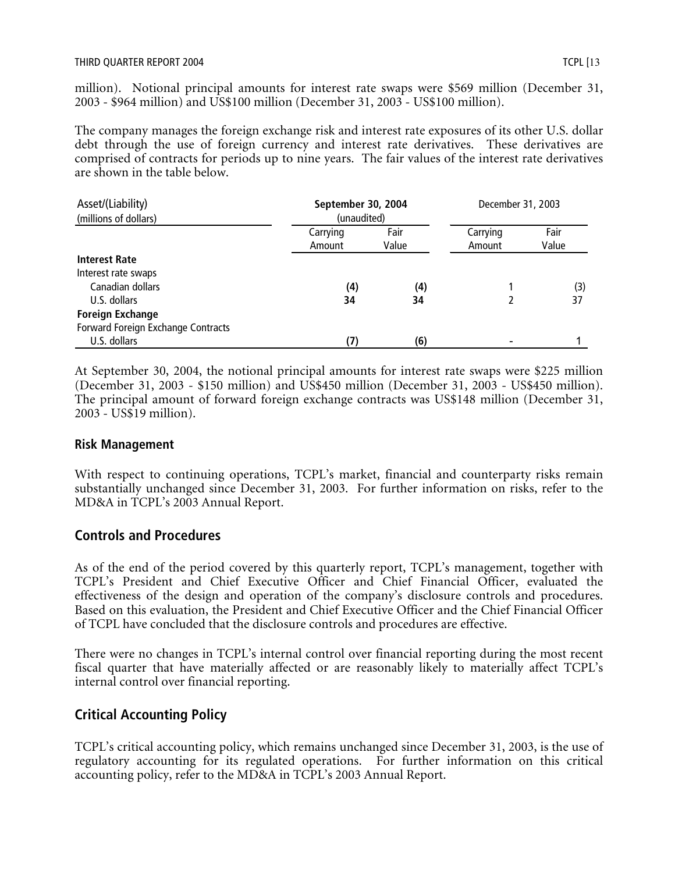million). Notional principal amounts for interest rate swaps were \$569 million (December 31, 2003 - \$964 million) and US\$100 million (December 31, 2003 - US\$100 million).

The company manages the foreign exchange risk and interest rate exposures of its other U.S. dollar debt through the use of foreign currency and interest rate derivatives. These derivatives are comprised of contracts for periods up to nine years. The fair values of the interest rate derivatives are shown in the table below.

| Asset/(Liability)                  | September 30, 2004 |       | December 31, 2003 |       |
|------------------------------------|--------------------|-------|-------------------|-------|
| (millions of dollars)              | (unaudited)        |       |                   |       |
|                                    | Carrying           | Fair  | Carrying          | Fair  |
|                                    | Amount             | Value | Amount            | Value |
| <b>Interest Rate</b>               |                    |       |                   |       |
| Interest rate swaps                |                    |       |                   |       |
| Canadian dollars                   | (4)                | (4)   |                   | (3)   |
| U.S. dollars                       | 34                 | 34    |                   | 37    |
| <b>Foreign Exchange</b>            |                    |       |                   |       |
| Forward Foreign Exchange Contracts |                    |       |                   |       |
| U.S. dollars                       | (7)                | (6)   |                   |       |

At September 30, 2004, the notional principal amounts for interest rate swaps were \$225 million (December 31, 2003 - \$150 million) and US\$450 million (December 31, 2003 - US\$450 million). The principal amount of forward foreign exchange contracts was US\$148 million (December 31, 2003 - US\$19 million).

## **Risk Management**

With respect to continuing operations, TCPL's market, financial and counterparty risks remain substantially unchanged since December 31, 2003. For further information on risks, refer to the MD&A in TCPL's 2003 Annual Report.

## **Controls and Procedures**

As of the end of the period covered by this quarterly report, TCPL's management, together with TCPL's President and Chief Executive Officer and Chief Financial Officer, evaluated the effectiveness of the design and operation of the company's disclosure controls and procedures. Based on this evaluation, the President and Chief Executive Officer and the Chief Financial Officer of TCPL have concluded that the disclosure controls and procedures are effective.

There were no changes in TCPL's internal control over financial reporting during the most recent fiscal quarter that have materially affected or are reasonably likely to materially affect TCPL's internal control over financial reporting.

# **Critical Accounting Policy**

TCPL's critical accounting policy, which remains unchanged since December 31, 2003, is the use of regulatory accounting for its regulated operations. For further information on this critical accounting policy, refer to the MD&A in TCPL's 2003 Annual Report.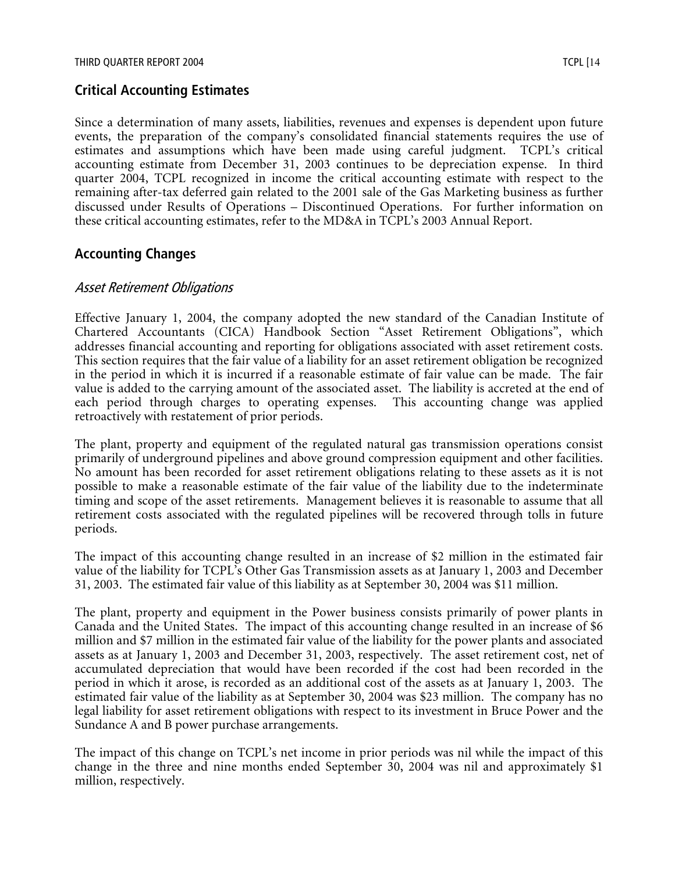# **Critical Accounting Estimates**

Since a determination of many assets, liabilities, revenues and expenses is dependent upon future events, the preparation of the company's consolidated financial statements requires the use of estimates and assumptions which have been made using careful judgment. TCPL's critical accounting estimate from December 31, 2003 continues to be depreciation expense. In third quarter 2004, TCPL recognized in income the critical accounting estimate with respect to the remaining after-tax deferred gain related to the 2001 sale of the Gas Marketing business as further discussed under Results of Operations – Discontinued Operations. For further information on these critical accounting estimates, refer to the MD&A in TCPL's 2003 Annual Report.

# **Accounting Changes**

#### Asset Retirement Obligations

Effective January 1, 2004, the company adopted the new standard of the Canadian Institute of Chartered Accountants (CICA) Handbook Section "Asset Retirement Obligations", which addresses financial accounting and reporting for obligations associated with asset retirement costs. This section requires that the fair value of a liability for an asset retirement obligation be recognized in the period in which it is incurred if a reasonable estimate of fair value can be made. The fair value is added to the carrying amount of the associated asset. The liability is accreted at the end of each period through charges to operating expenses. This accounting change was applied retroactively with restatement of prior periods.

The plant, property and equipment of the regulated natural gas transmission operations consist primarily of underground pipelines and above ground compression equipment and other facilities. No amount has been recorded for asset retirement obligations relating to these assets as it is not possible to make a reasonable estimate of the fair value of the liability due to the indeterminate timing and scope of the asset retirements. Management believes it is reasonable to assume that all retirement costs associated with the regulated pipelines will be recovered through tolls in future periods.

The impact of this accounting change resulted in an increase of \$2 million in the estimated fair value of the liability for TCPL's Other Gas Transmission assets as at January 1, 2003 and December 31, 2003. The estimated fair value of this liability as at September 30, 2004 was \$11 million.

The plant, property and equipment in the Power business consists primarily of power plants in Canada and the United States. The impact of this accounting change resulted in an increase of \$6 million and \$7 million in the estimated fair value of the liability for the power plants and associated assets as at January 1, 2003 and December 31, 2003, respectively. The asset retirement cost, net of accumulated depreciation that would have been recorded if the cost had been recorded in the period in which it arose, is recorded as an additional cost of the assets as at January 1, 2003. The estimated fair value of the liability as at September 30, 2004 was \$23 million. The company has no legal liability for asset retirement obligations with respect to its investment in Bruce Power and the Sundance A and B power purchase arrangements.

The impact of this change on TCPL's net income in prior periods was nil while the impact of this change in the three and nine months ended September 30, 2004 was nil and approximately \$1 million, respectively.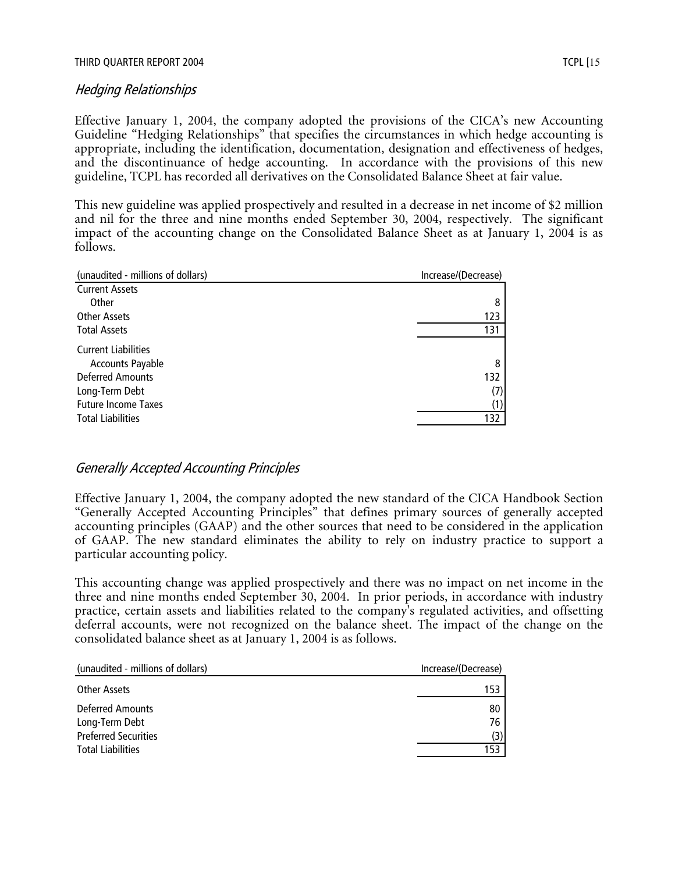# Hedging Relationships

Effective January 1, 2004, the company adopted the provisions of the CICA's new Accounting Guideline "Hedging Relationships" that specifies the circumstances in which hedge accounting is appropriate, including the identification, documentation, designation and effectiveness of hedges, and the discontinuance of hedge accounting. In accordance with the provisions of this new guideline, TCPL has recorded all derivatives on the Consolidated Balance Sheet at fair value.

This new guideline was applied prospectively and resulted in a decrease in net income of \$2 million and nil for the three and nine months ended September 30, 2004, respectively. The significant impact of the accounting change on the Consolidated Balance Sheet as at January 1, 2004 is as follows.

| (unaudited - millions of dollars) | Increase/(Decrease) |
|-----------------------------------|---------------------|
| <b>Current Assets</b>             |                     |
| Other                             | 8                   |
| Other Assets                      | 123                 |
| <b>Total Assets</b>               | 131                 |
| <b>Current Liabilities</b>        |                     |
| <b>Accounts Payable</b>           | 8                   |
| <b>Deferred Amounts</b>           | 132                 |
| Long-Term Debt                    | (7)                 |
| <b>Future Income Taxes</b>        | (1)                 |
| <b>Total Liabilities</b>          | 132                 |
|                                   |                     |

# Generally Accepted Accounting Principles

Effective January 1, 2004, the company adopted the new standard of the CICA Handbook Section "Generally Accepted Accounting Principles" that defines primary sources of generally accepted accounting principles (GAAP) and the other sources that need to be considered in the application of GAAP. The new standard eliminates the ability to rely on industry practice to support a particular accounting policy.

This accounting change was applied prospectively and there was no impact on net income in the three and nine months ended September 30, 2004. In prior periods, in accordance with industry practice, certain assets and liabilities related to the company's regulated activities, and offsetting deferral accounts, were not recognized on the balance sheet. The impact of the change on the consolidated balance sheet as at January 1, 2004 is as follows.

| (unaudited - millions of dollars)                                        | Increase/(Decrease) |
|--------------------------------------------------------------------------|---------------------|
| Other Assets                                                             | 153                 |
| <b>Deferred Amounts</b><br>Long-Term Debt<br><b>Preferred Securities</b> | 80<br>76<br>(3)     |
| <b>Total Liabilities</b>                                                 | 153.                |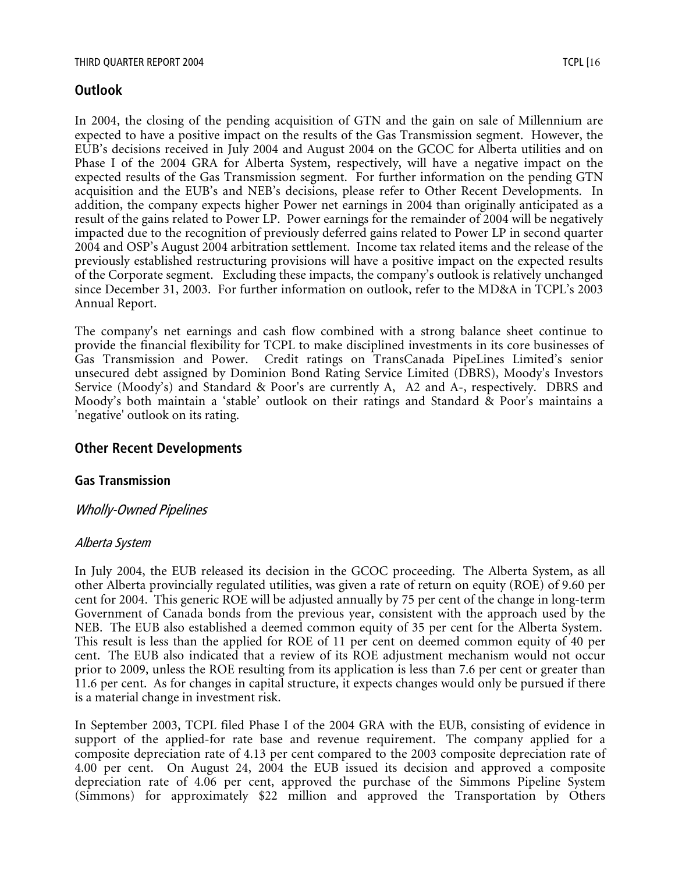## **Outlook**

In 2004, the closing of the pending acquisition of GTN and the gain on sale of Millennium are expected to have a positive impact on the results of the Gas Transmission segment. However, the EUB's decisions received in July 2004 and August 2004 on the GCOC for Alberta utilities and on Phase I of the 2004 GRA for Alberta System, respectively, will have a negative impact on the expected results of the Gas Transmission segment. For further information on the pending GTN acquisition and the EUB's and NEB's decisions, please refer to Other Recent Developments. In addition, the company expects higher Power net earnings in 2004 than originally anticipated as a result of the gains related to Power LP. Power earnings for the remainder of 2004 will be negatively impacted due to the recognition of previously deferred gains related to Power LP in second quarter 2004 and OSP's August 2004 arbitration settlement. Income tax related items and the release of the previously established restructuring provisions will have a positive impact on the expected results of the Corporate segment. Excluding these impacts, the company's outlook is relatively unchanged since December 31, 2003. For further information on outlook, refer to the MD&A in TCPL's 2003 Annual Report.

The company's net earnings and cash flow combined with a strong balance sheet continue to provide the financial flexibility for TCPL to make disciplined investments in its core businesses of Gas Transmission and Power. Credit ratings on TransCanada PipeLines Limited's senior unsecured debt assigned by Dominion Bond Rating Service Limited (DBRS), Moody's Investors Service (Moody's) and Standard & Poor's are currently A, A2 and A-, respectively. DBRS and Moody's both maintain a 'stable' outlook on their ratings and Standard & Poor's maintains a 'negative' outlook on its rating.

## **Other Recent Developments**

#### **Gas Transmission**

## Wholly-Owned Pipelines

#### Alberta System

In July 2004, the EUB released its decision in the GCOC proceeding. The Alberta System, as all other Alberta provincially regulated utilities, was given a rate of return on equity (ROE) of 9.60 per cent for 2004. This generic ROE will be adjusted annually by 75 per cent of the change in long-term Government of Canada bonds from the previous year, consistent with the approach used by the NEB. The EUB also established a deemed common equity of 35 per cent for the Alberta System. This result is less than the applied for ROE of 11 per cent on deemed common equity of 40 per cent. The EUB also indicated that a review of its ROE adjustment mechanism would not occur prior to 2009, unless the ROE resulting from its application is less than 7.6 per cent or greater than 11.6 per cent. As for changes in capital structure, it expects changes would only be pursued if there is a material change in investment risk.

In September 2003, TCPL filed Phase I of the 2004 GRA with the EUB, consisting of evidence in support of the applied-for rate base and revenue requirement. The company applied for a composite depreciation rate of 4.13 per cent compared to the 2003 composite depreciation rate of 4.00 per cent. On August 24, 2004 the EUB issued its decision and approved a composite depreciation rate of 4.06 per cent, approved the purchase of the Simmons Pipeline System (Simmons) for approximately \$22 million and approved the Transportation by Others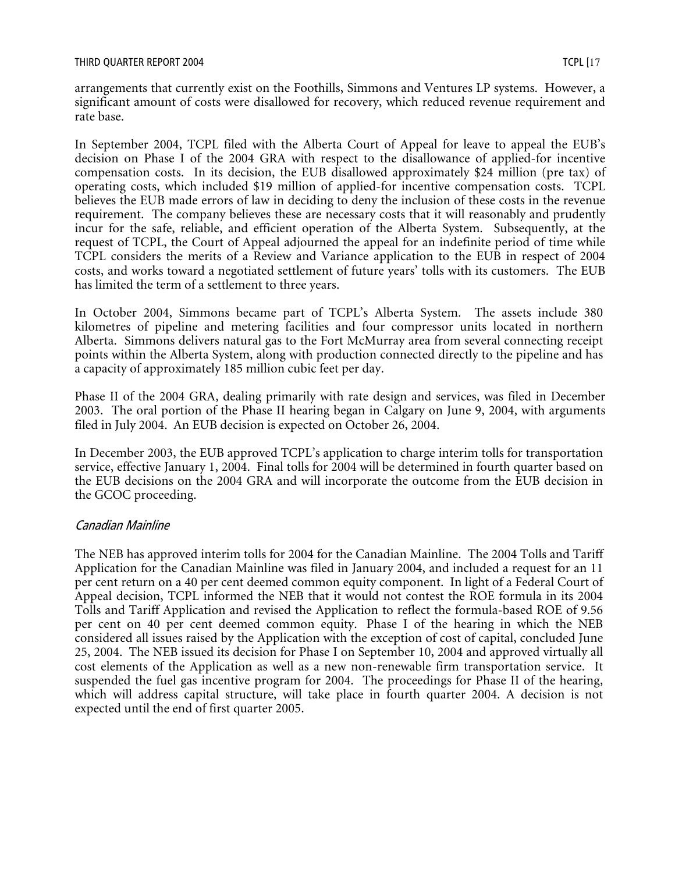arrangements that currently exist on the Foothills, Simmons and Ventures LP systems. However, a significant amount of costs were disallowed for recovery, which reduced revenue requirement and rate base.

In September 2004, TCPL filed with the Alberta Court of Appeal for leave to appeal the EUB's decision on Phase I of the 2004 GRA with respect to the disallowance of applied-for incentive compensation costs. In its decision, the EUB disallowed approximately \$24 million (pre tax) of operating costs, which included \$19 million of applied-for incentive compensation costs. TCPL believes the EUB made errors of law in deciding to deny the inclusion of these costs in the revenue requirement. The company believes these are necessary costs that it will reasonably and prudently incur for the safe, reliable, and efficient operation of the Alberta System. Subsequently, at the request of TCPL, the Court of Appeal adjourned the appeal for an indefinite period of time while TCPL considers the merits of a Review and Variance application to the EUB in respect of 2004 costs, and works toward a negotiated settlement of future years' tolls with its customers. The EUB has limited the term of a settlement to three years.

In October 2004, Simmons became part of TCPL's Alberta System. The assets include 380 kilometres of pipeline and metering facilities and four compressor units located in northern Alberta. Simmons delivers natural gas to the Fort McMurray area from several connecting receipt points within the Alberta System, along with production connected directly to the pipeline and has a capacity of approximately 185 million cubic feet per day.

Phase II of the 2004 GRA, dealing primarily with rate design and services, was filed in December 2003. The oral portion of the Phase II hearing began in Calgary on June 9, 2004, with arguments filed in July 2004. An EUB decision is expected on October 26, 2004.

In December 2003, the EUB approved TCPL's application to charge interim tolls for transportation service, effective January 1, 2004. Final tolls for 2004 will be determined in fourth quarter based on the EUB decisions on the 2004 GRA and will incorporate the outcome from the EUB decision in the GCOC proceeding.

#### Canadian Mainline

The NEB has approved interim tolls for 2004 for the Canadian Mainline. The 2004 Tolls and Tariff Application for the Canadian Mainline was filed in January 2004, and included a request for an 11 per cent return on a 40 per cent deemed common equity component. In light of a Federal Court of Appeal decision, TCPL informed the NEB that it would not contest the ROE formula in its 2004 Tolls and Tariff Application and revised the Application to reflect the formula-based ROE of 9.56 per cent on 40 per cent deemed common equity. Phase I of the hearing in which the NEB considered all issues raised by the Application with the exception of cost of capital, concluded June 25, 2004. The NEB issued its decision for Phase I on September 10, 2004 and approved virtually all cost elements of the Application as well as a new non-renewable firm transportation service. It suspended the fuel gas incentive program for 2004. The proceedings for Phase II of the hearing, which will address capital structure, will take place in fourth quarter 2004. A decision is not expected until the end of first quarter 2005.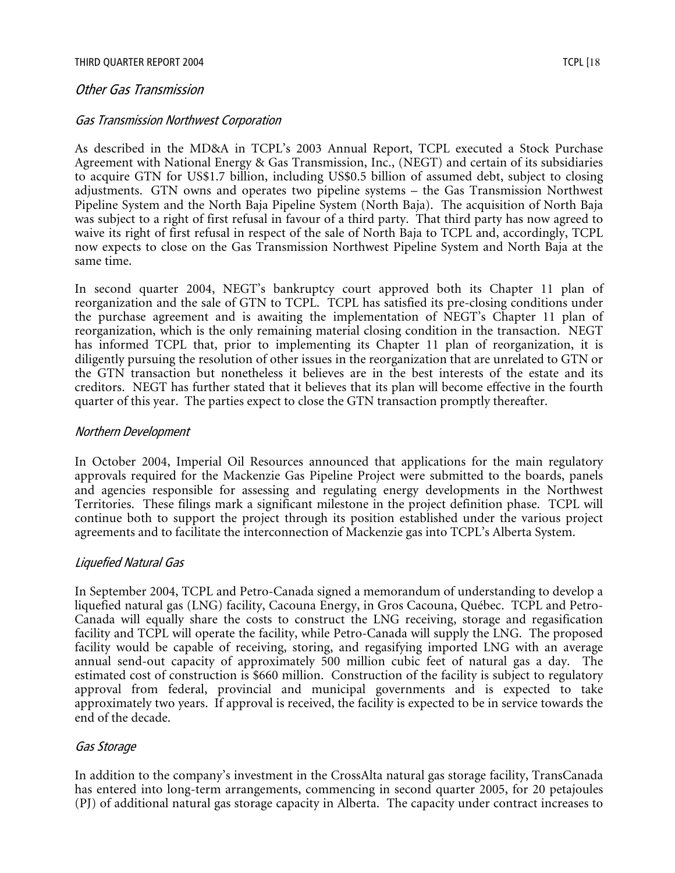#### Other Gas Transmission

#### Gas Transmission Northwest Corporation

As described in the MD&A in TCPL's 2003 Annual Report, TCPL executed a Stock Purchase Agreement with National Energy & Gas Transmission, Inc., (NEGT) and certain of its subsidiaries to acquire GTN for US\$1.7 billion, including US\$0.5 billion of assumed debt, subject to closing adjustments. GTN owns and operates two pipeline systems – the Gas Transmission Northwest Pipeline System and the North Baja Pipeline System (North Baja). The acquisition of North Baja was subject to a right of first refusal in favour of a third party. That third party has now agreed to waive its right of first refusal in respect of the sale of North Baja to TCPL and, accordingly, TCPL now expects to close on the Gas Transmission Northwest Pipeline System and North Baja at the same time.

In second quarter 2004, NEGT's bankruptcy court approved both its Chapter 11 plan of reorganization and the sale of GTN to TCPL. TCPL has satisfied its pre-closing conditions under the purchase agreement and is awaiting the implementation of NEGT's Chapter 11 plan of reorganization, which is the only remaining material closing condition in the transaction. NEGT has informed TCPL that, prior to implementing its Chapter 11 plan of reorganization, it is diligently pursuing the resolution of other issues in the reorganization that are unrelated to GTN or the GTN transaction but nonetheless it believes are in the best interests of the estate and its creditors. NEGT has further stated that it believes that its plan will become effective in the fourth quarter of this year. The parties expect to close the GTN transaction promptly thereafter.

#### Northern Development

In October 2004, Imperial Oil Resources announced that applications for the main regulatory approvals required for the Mackenzie Gas Pipeline Project were submitted to the boards, panels and agencies responsible for assessing and regulating energy developments in the Northwest Territories. These filings mark a significant milestone in the project definition phase. TCPL will continue both to support the project through its position established under the various project agreements and to facilitate the interconnection of Mackenzie gas into TCPL's Alberta System.

#### Liquefied Natural Gas

In September 2004, TCPL and Petro-Canada signed a memorandum of understanding to develop a liquefied natural gas (LNG) facility, Cacouna Energy, in Gros Cacouna, Québec. TCPL and Petro-Canada will equally share the costs to construct the LNG receiving, storage and regasification facility and TCPL will operate the facility, while Petro-Canada will supply the LNG. The proposed facility would be capable of receiving, storing, and regasifying imported LNG with an average annual send-out capacity of approximately 500 million cubic feet of natural gas a day. The estimated cost of construction is \$660 million. Construction of the facility is subject to regulatory approval from federal, provincial and municipal governments and is expected to take approximately two years. If approval is received, the facility is expected to be in service towards the end of the decade.

#### Gas Storage

In addition to the company's investment in the CrossAlta natural gas storage facility, TransCanada has entered into long-term arrangements, commencing in second quarter 2005, for 20 petajoules (PJ) of additional natural gas storage capacity in Alberta. The capacity under contract increases to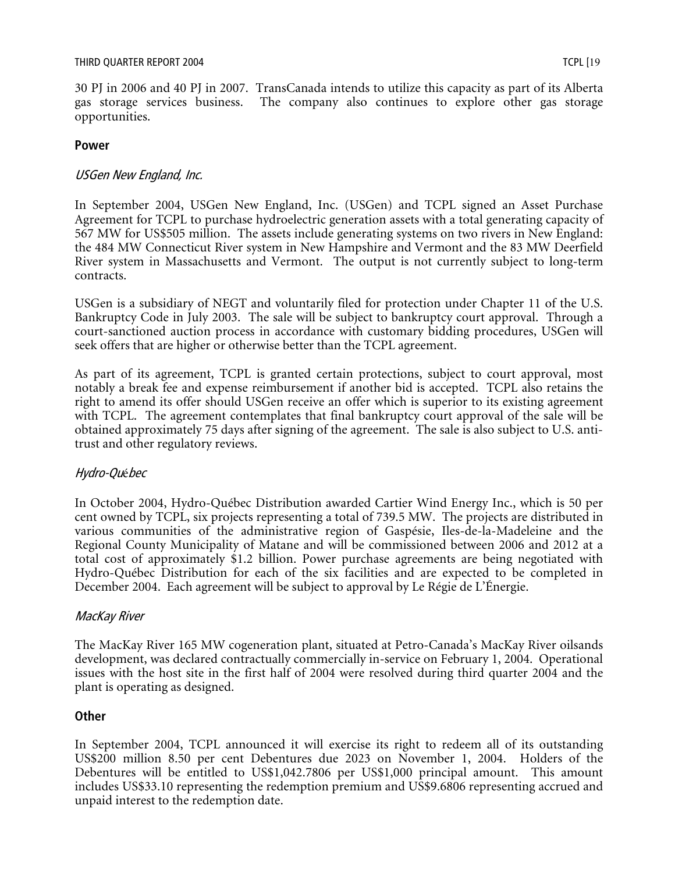30 PJ in 2006 and 40 PJ in 2007. TransCanada intends to utilize this capacity as part of its Alberta gas storage services business. The company also continues to explore other gas storage opportunities.

#### **Power**

#### USGen New England, Inc.

In September 2004, USGen New England, Inc. (USGen) and TCPL signed an Asset Purchase Agreement for TCPL to purchase hydroelectric generation assets with a total generating capacity of 567 MW for US\$505 million. The assets include generating systems on two rivers in New England: the 484 MW Connecticut River system in New Hampshire and Vermont and the 83 MW Deerfield River system in Massachusetts and Vermont. The output is not currently subject to long-term contracts.

USGen is a subsidiary of NEGT and voluntarily filed for protection under Chapter 11 of the U.S. Bankruptcy Code in July 2003. The sale will be subject to bankruptcy court approval. Through a court-sanctioned auction process in accordance with customary bidding procedures, USGen will seek offers that are higher or otherwise better than the TCPL agreement.

As part of its agreement, TCPL is granted certain protections, subject to court approval, most notably a break fee and expense reimbursement if another bid is accepted. TCPL also retains the right to amend its offer should USGen receive an offer which is superior to its existing agreement with TCPL. The agreement contemplates that final bankruptcy court approval of the sale will be obtained approximately 75 days after signing of the agreement. The sale is also subject to U.S. antitrust and other regulatory reviews.

## Hydro-Québec

In October 2004, Hydro-Québec Distribution awarded Cartier Wind Energy Inc., which is 50 per cent owned by TCPL, six projects representing a total of 739.5 MW. The projects are distributed in various communities of the administrative region of Gaspésie, Iles-de-la-Madeleine and the Regional County Municipality of Matane and will be commissioned between 2006 and 2012 at a total cost of approximately \$1.2 billion. Power purchase agreements are being negotiated with Hydro-Québec Distribution for each of the six facilities and are expected to be completed in December 2004. Each agreement will be subject to approval by Le Régie de L'Énergie.

#### MacKay River

The MacKay River 165 MW cogeneration plant, situated at Petro-Canada's MacKay River oilsands development, was declared contractually commercially in-service on February 1, 2004. Operational issues with the host site in the first half of 2004 were resolved during third quarter 2004 and the plant is operating as designed.

#### **Other**

In September 2004, TCPL announced it will exercise its right to redeem all of its outstanding US\$200 million 8.50 per cent Debentures due 2023 on November 1, 2004. Holders of the Debentures will be entitled to US\$1,042.7806 per US\$1,000 principal amount. This amount includes US\$33.10 representing the redemption premium and US\$9.6806 representing accrued and unpaid interest to the redemption date.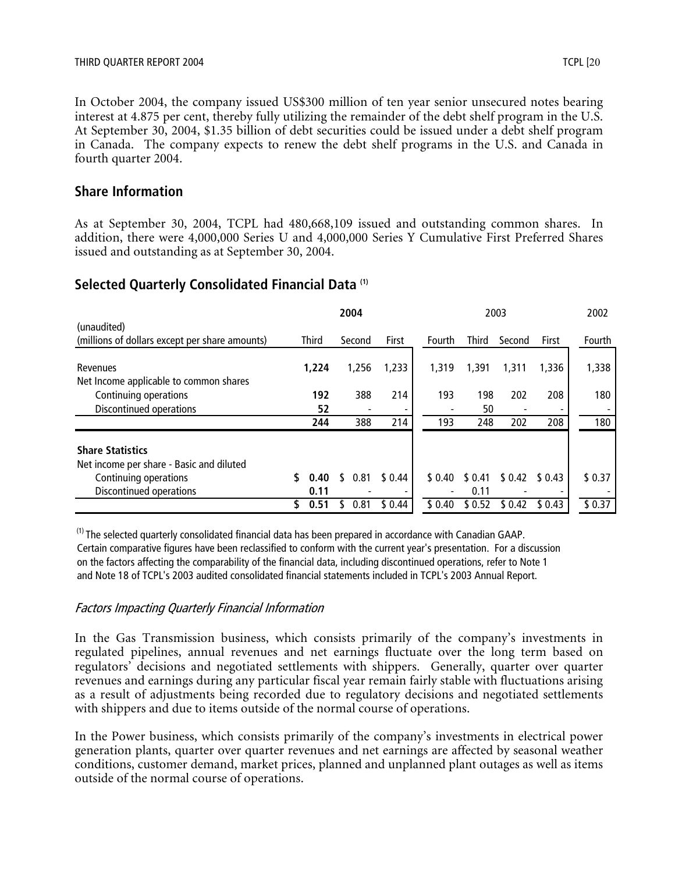In October 2004, the company issued US\$300 million of ten year senior unsecured notes bearing interest at 4.875 per cent, thereby fully utilizing the remainder of the debt shelf program in the U.S. At September 30, 2004, \$1.35 billion of debt securities could be issued under a debt shelf program in Canada. The company expects to renew the debt shelf programs in the U.S. and Canada in fourth quarter 2004.

#### **Share Information**

As at September 30, 2004, TCPL had 480,668,109 issued and outstanding common shares. In addition, there were 4,000,000 Series U and 4,000,000 Series Y Cumulative First Preferred Shares issued and outstanding as at September 30, 2004.

## **Selected Quarterly Consolidated Financial Data (1)**

|                                                |   |              | 2004 |        |         |        |         | 2003   |        | 2002   |
|------------------------------------------------|---|--------------|------|--------|---------|--------|---------|--------|--------|--------|
| (unaudited)                                    |   |              |      |        |         |        |         |        |        |        |
| (millions of dollars except per share amounts) |   | <b>Third</b> |      | Second | First   | Fourth | Third   | Second | First  | Fourth |
|                                                |   |              |      |        |         |        |         |        |        |        |
| Revenues                                       |   | 1,224        |      | 1,256  | 1,233   | 1,319  | 1,391   | 1,311  | 1,336  | 1,338  |
| Net Income applicable to common shares         |   |              |      |        |         |        |         |        |        |        |
| Continuing operations                          |   | 192          |      | 388    | 214     | 193    | 198     | 202    | 208    | 180    |
| Discontinued operations                        |   | 52           |      |        |         |        | 50      |        |        |        |
|                                                |   | 244          |      | 388    | 214     | 193    | 248     | 202    | 208    | 180    |
| <b>Share Statistics</b>                        |   |              |      |        |         |        |         |        |        |        |
| Net income per share - Basic and diluted       |   |              |      |        |         |        |         |        |        |        |
| Continuing operations                          |   | 0.40         | ٢.   | 0.81   | \$ 0.44 | \$0.40 | \$0.41  | \$0.42 | \$0.43 | \$0.37 |
| Discontinued operations                        |   | 0.11         |      |        |         |        | 0.11    |        |        |        |
|                                                | S | 0.51         |      | 0.81   | \$0.44  | \$0.40 | \$ 0.52 | \$0.42 | \$0.43 | \$0.37 |

 $<sup>(1)</sup>$  The selected quarterly consolidated financial data has been prepared in accordance with Canadian GAAP.</sup> Certain comparative figures have been reclassified to conform with the current year's presentation. For a discussion on the factors affecting the comparability of the financial data, including discontinued operations, refer to Note 1 and Note 18 of TCPL's 2003 audited consolidated financial statements included in TCPL's 2003 Annual Report.

#### Factors Impacting Quarterly Financial Information

In the Gas Transmission business, which consists primarily of the company's investments in regulated pipelines, annual revenues and net earnings fluctuate over the long term based on regulators' decisions and negotiated settlements with shippers. Generally, quarter over quarter revenues and earnings during any particular fiscal year remain fairly stable with fluctuations arising as a result of adjustments being recorded due to regulatory decisions and negotiated settlements with shippers and due to items outside of the normal course of operations.

In the Power business, which consists primarily of the company's investments in electrical power generation plants, quarter over quarter revenues and net earnings are affected by seasonal weather conditions, customer demand, market prices, planned and unplanned plant outages as well as items outside of the normal course of operations.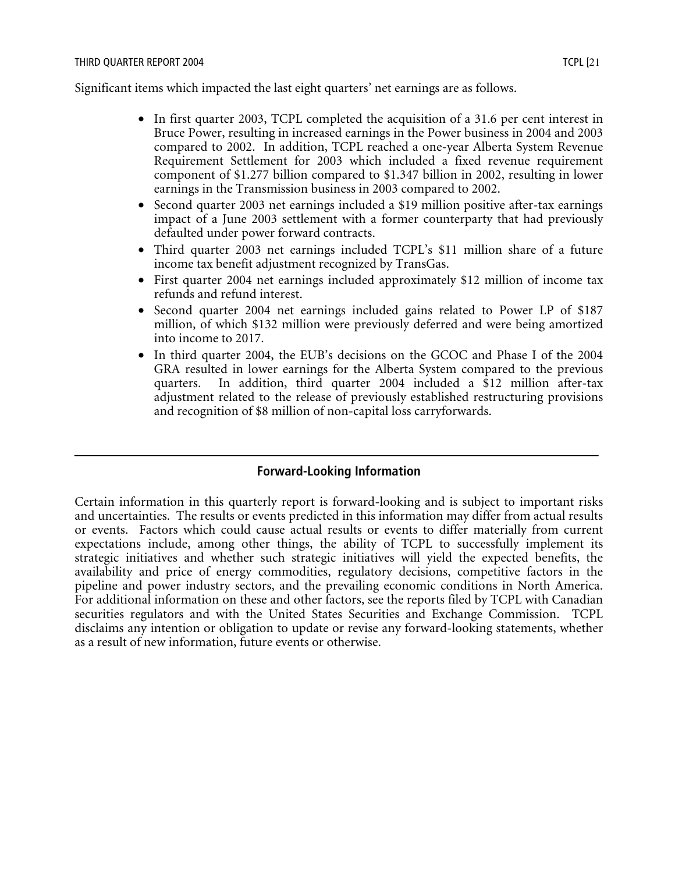Significant items which impacted the last eight quarters' net earnings are as follows.

- In first quarter 2003, TCPL completed the acquisition of a 31.6 per cent interest in Bruce Power, resulting in increased earnings in the Power business in 2004 and 2003 compared to 2002. In addition, TCPL reached a one-year Alberta System Revenue Requirement Settlement for 2003 which included a fixed revenue requirement component of \$1.277 billion compared to \$1.347 billion in 2002, resulting in lower earnings in the Transmission business in 2003 compared to 2002.
- Second quarter 2003 net earnings included a \$19 million positive after-tax earnings impact of a June 2003 settlement with a former counterparty that had previously defaulted under power forward contracts.
- Third quarter 2003 net earnings included TCPL's \$11 million share of a future income tax benefit adjustment recognized by TransGas.
- First quarter 2004 net earnings included approximately \$12 million of income tax refunds and refund interest.
- Second quarter 2004 net earnings included gains related to Power LP of \$187 million, of which \$132 million were previously deferred and were being amortized into income to 2017.
- In third quarter 2004, the EUB's decisions on the GCOC and Phase I of the 2004 GRA resulted in lower earnings for the Alberta System compared to the previous quarters. In addition, third quarter 2004 included a \$12 million after-tax adjustment related to the release of previously established restructuring provisions and recognition of \$8 million of non-capital loss carryforwards.

# **Forward-Looking Information**

Certain information in this quarterly report is forward-looking and is subject to important risks and uncertainties. The results or events predicted in this information may differ from actual results or events. Factors which could cause actual results or events to differ materially from current expectations include, among other things, the ability of TCPL to successfully implement its strategic initiatives and whether such strategic initiatives will yield the expected benefits, the availability and price of energy commodities, regulatory decisions, competitive factors in the pipeline and power industry sectors, and the prevailing economic conditions in North America. For additional information on these and other factors, see the reports filed by TCPL with Canadian securities regulators and with the United States Securities and Exchange Commission. TCPL disclaims any intention or obligation to update or revise any forward-looking statements, whether as a result of new information, future events or otherwise.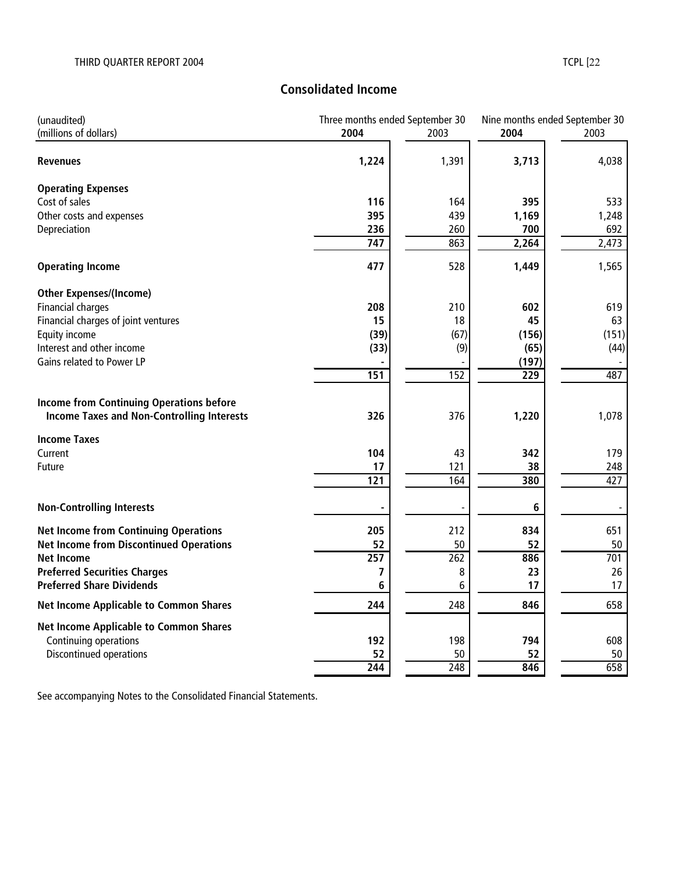# **Consolidated Income**

| (unaudited)                                       | Three months ended September 30 |                  | Nine months ended September 30 |       |  |
|---------------------------------------------------|---------------------------------|------------------|--------------------------------|-------|--|
| (millions of dollars)                             | 2004                            | 2003             | 2004                           | 2003  |  |
| <b>Revenues</b>                                   | 1,224                           | 1,391            | 3,713                          | 4,038 |  |
| <b>Operating Expenses</b>                         |                                 |                  |                                |       |  |
| Cost of sales                                     | 116                             | 164              | 395                            | 533   |  |
| Other costs and expenses                          | 395                             | 439              | 1,169                          | 1,248 |  |
| Depreciation                                      | 236                             | 260              | 700                            | 692   |  |
|                                                   | $\overline{747}$                | 863              | 2,264                          | 2,473 |  |
| <b>Operating Income</b>                           | 477                             | 528              | 1,449                          | 1,565 |  |
| <b>Other Expenses/(Income)</b>                    |                                 |                  |                                |       |  |
| Financial charges                                 | 208                             | 210              | 602                            | 619   |  |
| Financial charges of joint ventures               | 15                              | 18               | 45                             | 63    |  |
| Equity income                                     | (39)                            | (67)             | (156)                          | (151) |  |
| Interest and other income                         | (33)                            | (9)              | (65)                           | (44)  |  |
| Gains related to Power LP                         | 151                             | 152              | (197)<br>$\overline{229}$      | 487   |  |
|                                                   |                                 |                  |                                |       |  |
| <b>Income from Continuing Operations before</b>   |                                 |                  |                                |       |  |
| <b>Income Taxes and Non-Controlling Interests</b> | 326                             | 376              | 1,220                          | 1,078 |  |
| <b>Income Taxes</b>                               |                                 |                  |                                |       |  |
| Current                                           | 104                             | 43               | 342                            | 179   |  |
| <b>Future</b>                                     | 17                              | 121              | 38                             | 248   |  |
|                                                   | 121                             | 164              | 380                            | 427   |  |
| <b>Non-Controlling Interests</b>                  |                                 |                  | 6                              |       |  |
| <b>Net Income from Continuing Operations</b>      | 205                             | 212              | 834                            | 651   |  |
| <b>Net Income from Discontinued Operations</b>    | 52                              | 50               | 52                             | 50    |  |
| <b>Net Income</b>                                 | $\overline{257}$                | 262              | 886                            | 701   |  |
| <b>Preferred Securities Charges</b>               | 7                               | 8                | 23                             | 26    |  |
| <b>Preferred Share Dividends</b>                  | 6                               | 6                | 17                             | 17    |  |
| <b>Net Income Applicable to Common Shares</b>     | 244                             | 248              | 846                            | 658   |  |
| <b>Net Income Applicable to Common Shares</b>     |                                 |                  |                                |       |  |
| Continuing operations                             | 192                             | 198              | 794                            | 608   |  |
| Discontinued operations                           | 52                              | 50               | 52                             | 50    |  |
|                                                   | 244                             | $\overline{248}$ | 846                            | 658   |  |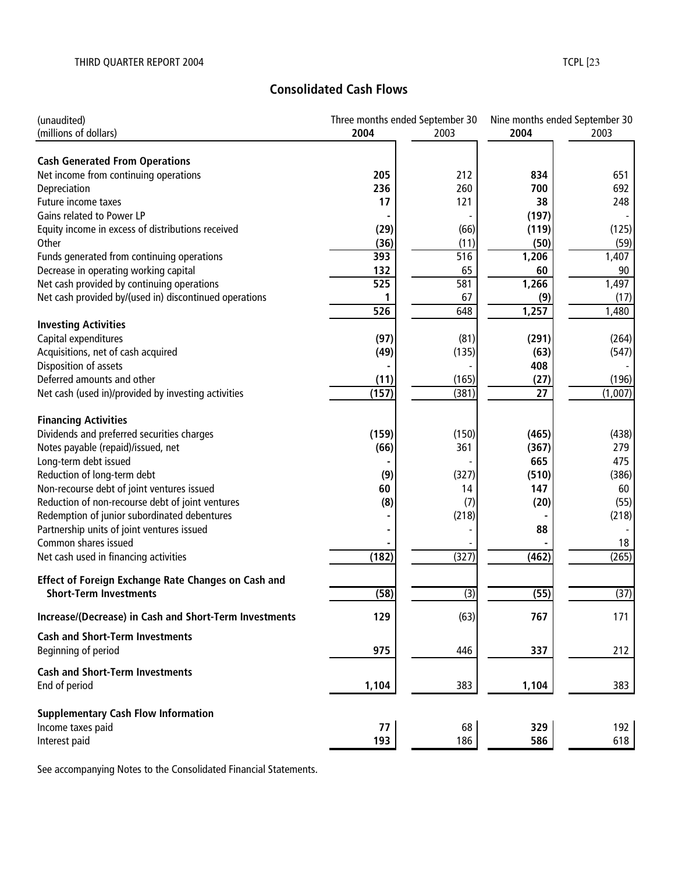# **Consolidated Cash Flows**

| (unaudited)                                            | Three months ended September 30 |                  |                 | Nine months ended September 30 |  |
|--------------------------------------------------------|---------------------------------|------------------|-----------------|--------------------------------|--|
| (millions of dollars)                                  | 2004                            | 2003             | 2004            | 2003                           |  |
|                                                        |                                 |                  |                 |                                |  |
| <b>Cash Generated From Operations</b>                  |                                 |                  |                 |                                |  |
| Net income from continuing operations                  | 205                             | 212              | 834             | 651                            |  |
| Depreciation                                           | 236                             | 260              | 700             | 692                            |  |
| Future income taxes                                    | 17                              | 121              | 38              | 248                            |  |
| Gains related to Power LP                              |                                 |                  | (197)           |                                |  |
| Equity income in excess of distributions received      | (29)                            | (66)             | (119)           | (125)                          |  |
| Other                                                  | (36)                            | (11)             | (50)            | (59)                           |  |
| Funds generated from continuing operations             | 393                             | $\overline{516}$ | 1,206           | 1,407                          |  |
| Decrease in operating working capital                  | 132                             | 65               | 60              | 90                             |  |
| Net cash provided by continuing operations             | $\overline{525}$                | 581              | 1,266           | 1,497                          |  |
| Net cash provided by/(used in) discontinued operations |                                 | 67               | (9)             | (17)                           |  |
|                                                        | 526                             | 648              | 1,257           | 1,480                          |  |
| <b>Investing Activities</b>                            |                                 |                  |                 |                                |  |
| Capital expenditures                                   | (97)                            | (81)             | (291)           | (264)                          |  |
| Acquisitions, net of cash acquired                     | (49)                            | (135)            | (63)            | (547)                          |  |
| Disposition of assets                                  |                                 |                  | 408             |                                |  |
| Deferred amounts and other                             | (11)                            | (165)            | (27)            | (196)                          |  |
| Net cash (used in)/provided by investing activities    | (157)                           | (381)            | $\overline{27}$ | (1,007)                        |  |
|                                                        |                                 |                  |                 |                                |  |
| <b>Financing Activities</b>                            |                                 |                  |                 |                                |  |
| Dividends and preferred securities charges             | (159)                           | (150)            | (465)           | (438)                          |  |
| Notes payable (repaid)/issued, net                     | (66)                            | 361              | (367)           | 279                            |  |
| Long-term debt issued                                  |                                 |                  | 665             | 475                            |  |
| Reduction of long-term debt                            | (9)                             | (327)            | (510)           | (386)                          |  |
| Non-recourse debt of joint ventures issued             | 60                              | 14               | 147             | 60                             |  |
| Reduction of non-recourse debt of joint ventures       | (8)                             | (7)              | (20)            | (55)                           |  |
| Redemption of junior subordinated debentures           |                                 | (218)            |                 | (218)                          |  |
| Partnership units of joint ventures issued             |                                 |                  | 88              |                                |  |
| Common shares issued                                   |                                 |                  |                 | 18                             |  |
| Net cash used in financing activities                  | (182)                           | (327)            | (462)           | (265)                          |  |
|                                                        |                                 |                  |                 |                                |  |
| Effect of Foreign Exchange Rate Changes on Cash and    |                                 |                  |                 |                                |  |
| <b>Short-Term Investments</b>                          | (58)                            | $\overline{3}$   | (55)            | (37)                           |  |
| Increase/(Decrease) in Cash and Short-Term Investments | 129                             | (63)             | 767             | 171                            |  |
| <b>Cash and Short-Term Investments</b>                 |                                 |                  |                 |                                |  |
| Beginning of period                                    | 975                             | 446              | 337             | 212                            |  |
|                                                        |                                 |                  |                 |                                |  |
| <b>Cash and Short-Term Investments</b>                 |                                 |                  |                 |                                |  |
| End of period                                          | 1,104                           | 383              | 1,104           | 383                            |  |
|                                                        |                                 |                  |                 |                                |  |
| <b>Supplementary Cash Flow Information</b>             |                                 |                  |                 |                                |  |
| Income taxes paid                                      | 77                              | 68               | 329             | 192                            |  |
| Interest paid                                          | 193                             | 186              | 586             | 618                            |  |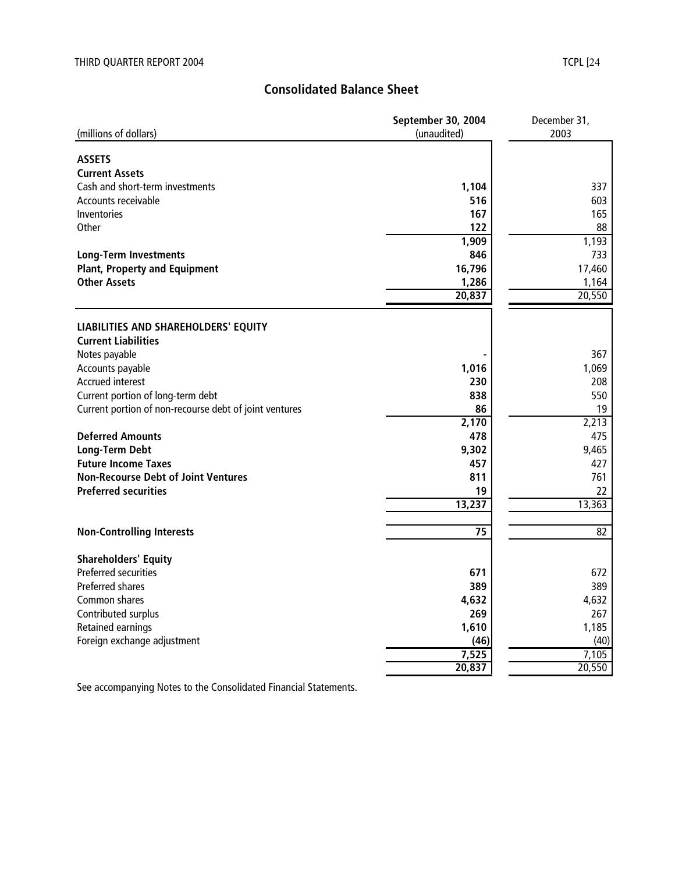# **Consolidated Balance Sheet**

|                                                        | September 30, 2004 | December 31, |
|--------------------------------------------------------|--------------------|--------------|
| (millions of dollars)                                  | (unaudited)        | 2003         |
|                                                        |                    |              |
| <b>ASSETS</b>                                          |                    |              |
| <b>Current Assets</b>                                  |                    |              |
| Cash and short-term investments                        | 1,104              | 337          |
| Accounts receivable                                    | 516                | 603          |
| Inventories                                            | 167                | 165          |
| <b>Other</b>                                           | 122                | 88           |
|                                                        | 1,909              | 1,193        |
| <b>Long-Term Investments</b>                           | 846                | 733          |
| <b>Plant, Property and Equipment</b>                   | 16,796             | 17,460       |
| <b>Other Assets</b>                                    | 1,286              | 1,164        |
|                                                        | 20,837             | 20,550       |
|                                                        |                    |              |
| LIABILITIES AND SHAREHOLDERS' EQUITY                   |                    |              |
| <b>Current Liabilities</b>                             |                    |              |
| Notes payable                                          |                    | 367          |
| Accounts payable                                       | 1,016              | 1,069        |
| <b>Accrued interest</b>                                | 230                | 208          |
| Current portion of long-term debt                      | 838                | 550          |
| Current portion of non-recourse debt of joint ventures | 86                 | 19           |
|                                                        | 2,170              | 2,213        |
| <b>Deferred Amounts</b>                                | 478                | 475          |
| Long-Term Debt                                         | 9,302              | 9,465        |
| <b>Future Income Taxes</b>                             | 457                | 427          |
| <b>Non-Recourse Debt of Joint Ventures</b>             | 811                | 761          |
| <b>Preferred securities</b>                            | 19                 | 22           |
|                                                        | 13,237             | 13,363       |
|                                                        |                    |              |
| <b>Non-Controlling Interests</b>                       | 75                 | 82           |
|                                                        |                    |              |
| <b>Shareholders' Equity</b>                            |                    |              |
| Preferred securities                                   | 671                | 672          |
| <b>Preferred shares</b>                                | 389                | 389          |
| Common shares                                          | 4,632              | 4,632        |
| Contributed surplus                                    | 269                | 267          |
| Retained earnings                                      | 1,610              | 1,185        |
| Foreign exchange adjustment                            | (46)               | (40)         |
|                                                        | 7,525              | 7,105        |
|                                                        | 20,837             | 20,550       |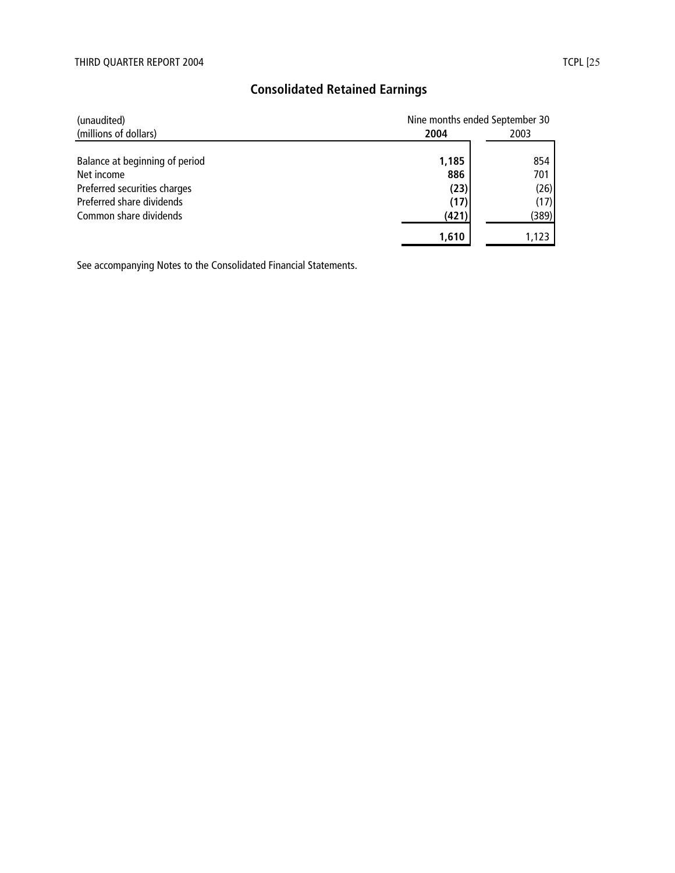# **Consolidated Retained Earnings**

| (unaudited)                    |       | Nine months ended September 30 |  |  |  |
|--------------------------------|-------|--------------------------------|--|--|--|
| (millions of dollars)          | 2004  | 2003                           |  |  |  |
| Balance at beginning of period | 1,185 | 854                            |  |  |  |
| Net income                     | 886   | 701                            |  |  |  |
| Preferred securities charges   | (23)  | (26)                           |  |  |  |
| Preferred share dividends      | (17)  | (17)                           |  |  |  |
| Common share dividends         | (421) | (389)                          |  |  |  |
|                                | 1,610 |                                |  |  |  |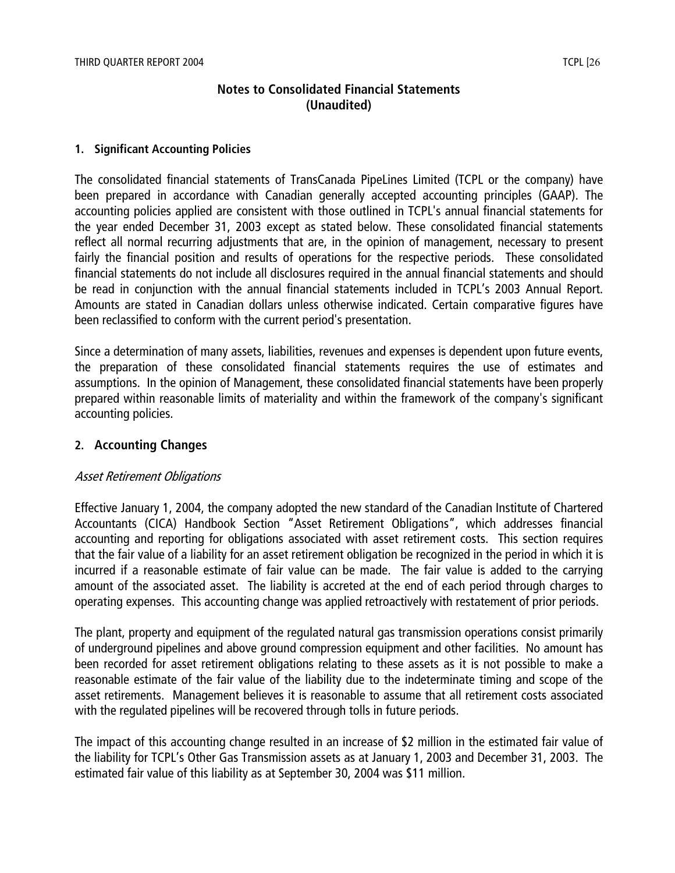# **Notes to Consolidated Financial Statements (Unaudited)**

#### **1. Significant Accounting Policies**

The consolidated financial statements of TransCanada PipeLines Limited (TCPL or the company) have been prepared in accordance with Canadian generally accepted accounting principles (GAAP). The accounting policies applied are consistent with those outlined in TCPL's annual financial statements for the year ended December 31, 2003 except as stated below. These consolidated financial statements reflect all normal recurring adjustments that are, in the opinion of management, necessary to present fairly the financial position and results of operations for the respective periods. These consolidated financial statements do not include all disclosures required in the annual financial statements and should be read in conjunction with the annual financial statements included in TCPL's 2003 Annual Report. Amounts are stated in Canadian dollars unless otherwise indicated. Certain comparative figures have been reclassified to conform with the current period's presentation.

Since a determination of many assets, liabilities, revenues and expenses is dependent upon future events, the preparation of these consolidated financial statements requires the use of estimates and assumptions. In the opinion of Management, these consolidated financial statements have been properly prepared within reasonable limits of materiality and within the framework of the company's significant accounting policies.

#### **2. Accounting Changes**

#### Asset Retirement Obligations

Effective January 1, 2004, the company adopted the new standard of the Canadian Institute of Chartered Accountants (CICA) Handbook Section "Asset Retirement Obligations", which addresses financial accounting and reporting for obligations associated with asset retirement costs. This section requires that the fair value of a liability for an asset retirement obligation be recognized in the period in which it is incurred if a reasonable estimate of fair value can be made. The fair value is added to the carrying amount of the associated asset. The liability is accreted at the end of each period through charges to operating expenses. This accounting change was applied retroactively with restatement of prior periods.

The plant, property and equipment of the regulated natural gas transmission operations consist primarily of underground pipelines and above ground compression equipment and other facilities. No amount has been recorded for asset retirement obligations relating to these assets as it is not possible to make a reasonable estimate of the fair value of the liability due to the indeterminate timing and scope of the asset retirements. Management believes it is reasonable to assume that all retirement costs associated with the regulated pipelines will be recovered through tolls in future periods.

The impact of this accounting change resulted in an increase of \$2 million in the estimated fair value of the liability for TCPL's Other Gas Transmission assets as at January 1, 2003 and December 31, 2003. The estimated fair value of this liability as at September 30, 2004 was \$11 million.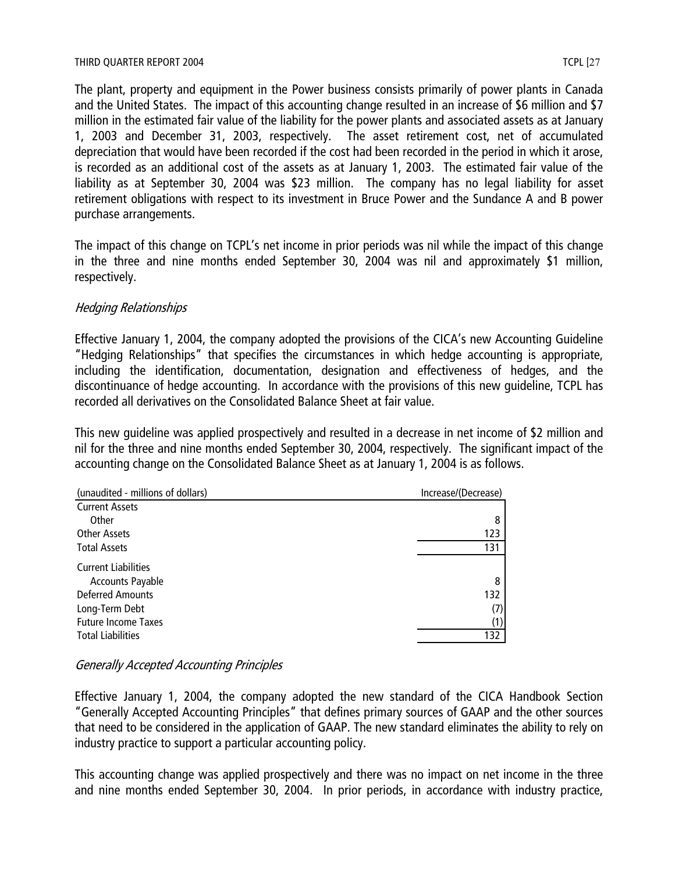The plant, property and equipment in the Power business consists primarily of power plants in Canada and the United States. The impact of this accounting change resulted in an increase of \$6 million and \$7 million in the estimated fair value of the liability for the power plants and associated assets as at January 1, 2003 and December 31, 2003, respectively. The asset retirement cost, net of accumulated depreciation that would have been recorded if the cost had been recorded in the period in which it arose, is recorded as an additional cost of the assets as at January 1, 2003. The estimated fair value of the liability as at September 30, 2004 was \$23 million. The company has no legal liability for asset retirement obligations with respect to its investment in Bruce Power and the Sundance A and B power purchase arrangements.

The impact of this change on TCPL's net income in prior periods was nil while the impact of this change in the three and nine months ended September 30, 2004 was nil and approximately \$1 million, respectively.

## Hedging Relationships

Effective January 1, 2004, the company adopted the provisions of the CICA's new Accounting Guideline "Hedging Relationships" that specifies the circumstances in which hedge accounting is appropriate, including the identification, documentation, designation and effectiveness of hedges, and the discontinuance of hedge accounting. In accordance with the provisions of this new guideline, TCPL has recorded all derivatives on the Consolidated Balance Sheet at fair value.

This new guideline was applied prospectively and resulted in a decrease in net income of \$2 million and nil for the three and nine months ended September 30, 2004, respectively. The significant impact of the accounting change on the Consolidated Balance Sheet as at January 1, 2004 is as follows.

| (unaudited - millions of dollars) | Increase/(Decrease) |  |  |  |
|-----------------------------------|---------------------|--|--|--|
| <b>Current Assets</b>             |                     |  |  |  |
| Other                             | 8                   |  |  |  |
| <b>Other Assets</b>               | 123                 |  |  |  |
| <b>Total Assets</b>               | 131                 |  |  |  |
| <b>Current Liabilities</b>        |                     |  |  |  |
| <b>Accounts Payable</b>           | 8                   |  |  |  |
| <b>Deferred Amounts</b>           | 132                 |  |  |  |
| Long-Term Debt                    | (7)                 |  |  |  |
| <b>Future Income Taxes</b>        | (1)                 |  |  |  |
| <b>Total Liabilities</b>          | 132                 |  |  |  |

## Generally Accepted Accounting Principles

Effective January 1, 2004, the company adopted the new standard of the CICA Handbook Section "Generally Accepted Accounting Principles" that defines primary sources of GAAP and the other sources that need to be considered in the application of GAAP. The new standard eliminates the ability to rely on industry practice to support a particular accounting policy.

This accounting change was applied prospectively and there was no impact on net income in the three and nine months ended September 30, 2004. In prior periods, in accordance with industry practice,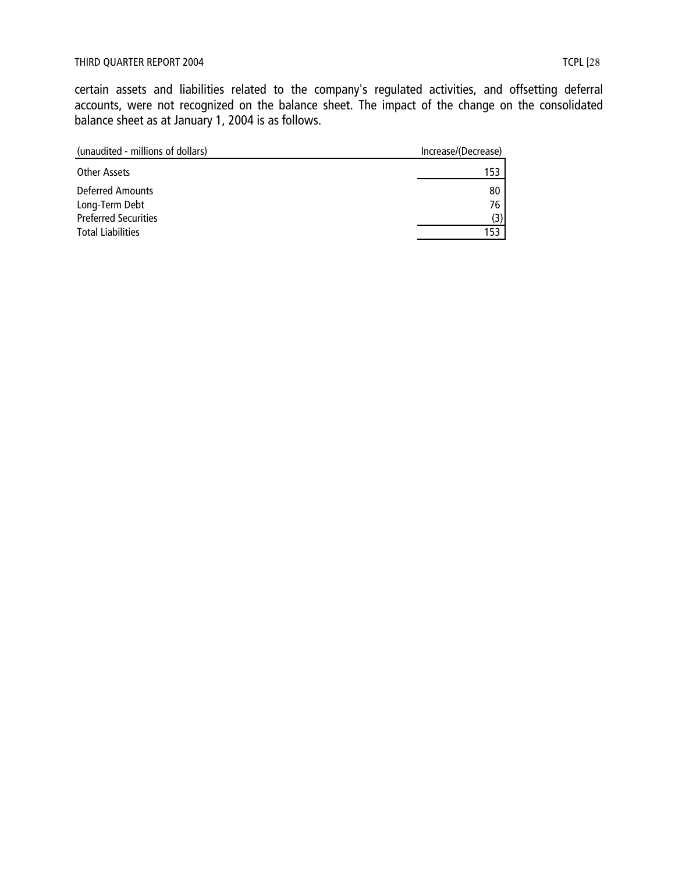certain assets and liabilities related to the company's regulated activities, and offsetting deferral accounts, were not recognized on the balance sheet. The impact of the change on the consolidated balance sheet as at January 1, 2004 is as follows.

| (unaudited - millions of dollars)         | Increase/(Decrease) |
|-------------------------------------------|---------------------|
| Other Assets                              | 153                 |
| <b>Deferred Amounts</b><br>Long-Term Debt | 80<br>76            |
| <b>Preferred Securities</b>               | (3)                 |
| <b>Total Liabilities</b>                  | 153                 |
|                                           |                     |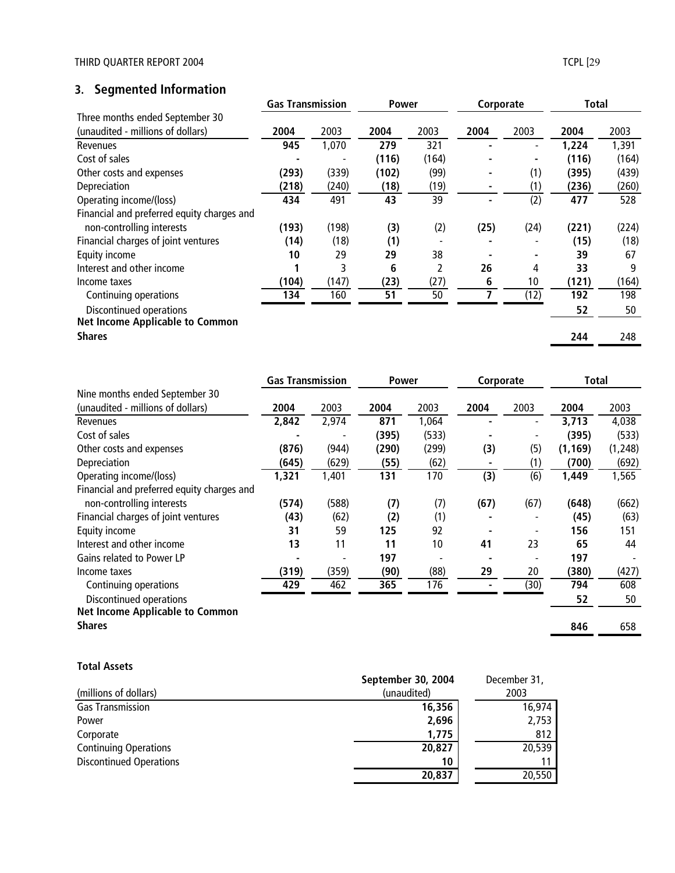# **3. Segmented Information**

|                                            | <b>Gas Transmission</b> |       | <b>Power</b> |       | Corporate |      | <b>Total</b> |       |
|--------------------------------------------|-------------------------|-------|--------------|-------|-----------|------|--------------|-------|
| Three months ended September 30            |                         |       |              |       |           |      |              |       |
| (unaudited - millions of dollars)          | 2004                    | 2003  | 2004         | 2003  | 2004      | 2003 | 2004         | 2003  |
| Revenues                                   | 945                     | 1,070 | 279          | 321   |           |      | 1,224        | 1,391 |
| Cost of sales                              |                         |       | (116)        | (164) |           |      | (116)        | (164) |
| Other costs and expenses                   | (293)                   | (339) | (102)        | (99)  |           | (1)  | (395)        | (439) |
| Depreciation                               | (218)                   | (240) | (18)         | (19)  |           | (1)  | (236)        | (260) |
| Operating income/(loss)                    | 434                     | 491   | 43           | 39    |           | (2)  | 477          | 528   |
| Financial and preferred equity charges and |                         |       |              |       |           |      |              |       |
| non-controlling interests                  | (193)                   | (198) | (3)          | (2)   | (25)      | (24) | (221)        | (224) |
| Financial charges of joint ventures        | (14)                    | (18)  | (1)          |       |           |      | (15)         | (18)  |
| Equity income                              | 10                      | 29    | 29           | 38    |           |      | 39           | 67    |
| Interest and other income                  |                         | 3     | 6            | 2     | 26        | 4    | 33           | 9     |
| Income taxes                               | (104)                   | (147) | (23)         | (27)  | 6         | 10   | (121)        | (164) |
| Continuing operations                      | 134                     | 160   | 51           | 50    |           | (12) | 192          | 198   |
| Discontinued operations                    |                         |       |              |       |           |      | 52           | 50    |
| <b>Net Income Applicable to Common</b>     |                         |       |              |       |           |      |              |       |
| <b>Shares</b>                              |                         |       |              |       |           |      | 244          | 248   |

|                                            | <b>Gas Transmission</b> |       | <b>Power</b> |       | Corporate |      | Total    |          |
|--------------------------------------------|-------------------------|-------|--------------|-------|-----------|------|----------|----------|
| Nine months ended September 30             |                         |       |              |       |           |      |          |          |
| (unaudited - millions of dollars)          | 2004                    | 2003  | 2004         | 2003  | 2004      | 2003 | 2004     | 2003     |
| Revenues                                   | 2,842                   | 2,974 | 871          | 1,064 |           |      | 3,713    | 4,038    |
| Cost of sales                              |                         |       | (395)        | (533) |           |      | (395)    | (533)    |
| Other costs and expenses                   | (876)                   | (944) | (290)        | (299) | (3)       | (5)  | (1, 169) | (1, 248) |
| Depreciation                               | (645)                   | (629) | (55)         | (62)  |           | (1)  | (700)    | (692)    |
| Operating income/(loss)                    | 1,321                   | 1,401 | 131          | 170   | (3)       | (6)  | 1,449    | 1,565    |
| Financial and preferred equity charges and |                         |       |              |       |           |      |          |          |
| non-controlling interests                  | (574)                   | (588) | (7)          | (7)   | (67)      | (67) | (648)    | (662)    |
| Financial charges of joint ventures        | (43)                    | (62)  | (2)          | (1)   |           |      | (45)     | (63)     |
| Equity income                              | 31                      | 59    | 125          | 92    |           |      | 156      | 151      |
| Interest and other income                  | 13                      | 11    | 11           | 10    | 41        | 23   | 65       | 44       |
| Gains related to Power LP                  |                         |       | 197          |       |           |      | 197      |          |
| Income taxes                               | (319)                   | (359) | (90)         | (88)  | 29        | 20   | (380)    | (427)    |
| Continuing operations                      | 429                     | 462   | 365          | 176   |           | (30) | 794      | 608      |
| Discontinued operations                    |                         |       |              |       |           |      | 52       | 50       |
| <b>Net Income Applicable to Common</b>     |                         |       |              |       |           |      |          |          |
| <b>Shares</b>                              |                         |       |              |       |           |      | 846      | 658      |

#### **Total Assets**

|                                | September 30, 2004 | December 31, |
|--------------------------------|--------------------|--------------|
| (millions of dollars)          | (unaudited)        | 2003         |
| <b>Gas Transmission</b>        | 16,356             | 16,974       |
| Power                          | 2,696              | 2,753        |
| Corporate                      | 1,775              | 812          |
| <b>Continuing Operations</b>   | 20,827             | 20,539       |
| <b>Discontinued Operations</b> | 10                 |              |
|                                | 20,837             | 20,550       |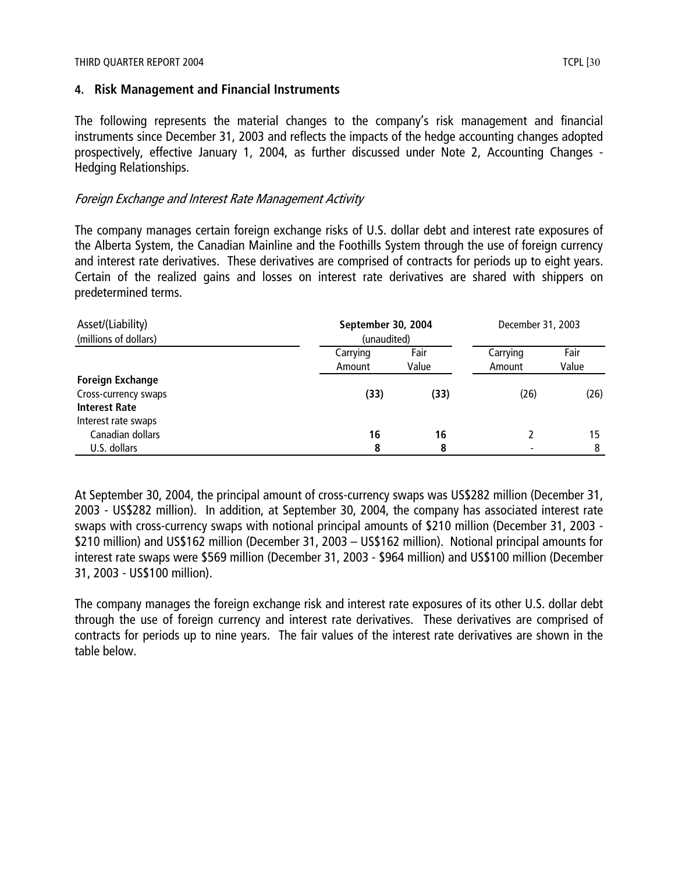#### THIRD QUARTER REPORT 2004 TCPL [30] THIRD QUARTER REPORT 2004

#### **4. Risk Management and Financial Instruments**

The following represents the material changes to the company's risk management and financial instruments since December 31, 2003 and reflects the impacts of the hedge accounting changes adopted prospectively, effective January 1, 2004, as further discussed under Note 2, Accounting Changes - Hedging Relationships.

#### Foreign Exchange and Interest Rate Management Activity

The company manages certain foreign exchange risks of U.S. dollar debt and interest rate exposures of the Alberta System, the Canadian Mainline and the Foothills System through the use of foreign currency and interest rate derivatives. These derivatives are comprised of contracts for periods up to eight years. Certain of the realized gains and losses on interest rate derivatives are shared with shippers on predetermined terms.

| Asset/(Liability)<br>(millions of dollars)                              |                    | September 30, 2004<br>(unaudited) |                          |               |  |
|-------------------------------------------------------------------------|--------------------|-----------------------------------|--------------------------|---------------|--|
|                                                                         | Carrying<br>Amount | Fair<br>Value                     | Carrying<br>Amount       | Fair<br>Value |  |
| <b>Foreign Exchange</b><br>Cross-currency swaps<br><b>Interest Rate</b> | (33)               | (33)                              | (26)                     | (26)          |  |
| Interest rate swaps<br>Canadian dollars<br>U.S. dollars                 | 16<br>8            | 16<br>8                           | $\overline{\phantom{0}}$ | 15            |  |

At September 30, 2004, the principal amount of cross-currency swaps was US\$282 million (December 31, 2003 - US\$282 million). In addition, at September 30, 2004, the company has associated interest rate swaps with cross-currency swaps with notional principal amounts of \$210 million (December 31, 2003 - \$210 million) and US\$162 million (December 31, 2003 – US\$162 million). Notional principal amounts for interest rate swaps were \$569 million (December 31, 2003 - \$964 million) and US\$100 million (December 31, 2003 - US\$100 million).

The company manages the foreign exchange risk and interest rate exposures of its other U.S. dollar debt through the use of foreign currency and interest rate derivatives. These derivatives are comprised of contracts for periods up to nine years. The fair values of the interest rate derivatives are shown in the table below.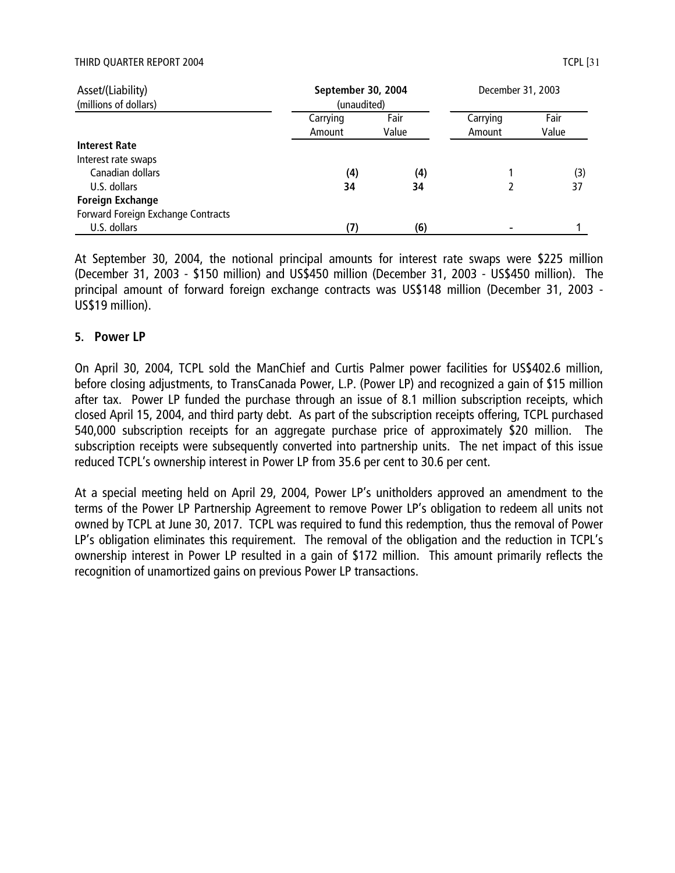#### THIRD QUARTER REPORT 2004 TCPL [31] THIRD QUARTER REPORT 2004

| Asset/(Liability)<br>(millions of dollars)                                      | September 30, 2004<br>(unaudited) |               | December 31, 2003  |               |  |
|---------------------------------------------------------------------------------|-----------------------------------|---------------|--------------------|---------------|--|
|                                                                                 | Carrying<br>Amount                | Fair<br>Value | Carrying<br>Amount | Fair<br>Value |  |
| <b>Interest Rate</b><br>Interest rate swaps<br>Canadian dollars<br>U.S. dollars | (4)<br>34                         | (4)<br>34     |                    | (3)<br>37     |  |
| <b>Foreign Exchange</b><br>Forward Foreign Exchange Contracts<br>U.S. dollars   |                                   | (6)           |                    |               |  |

At September 30, 2004, the notional principal amounts for interest rate swaps were \$225 million (December 31, 2003 - \$150 million) and US\$450 million (December 31, 2003 - US\$450 million). The principal amount of forward foreign exchange contracts was US\$148 million (December 31, 2003 - US\$19 million).

#### **5. Power LP**

On April 30, 2004, TCPL sold the ManChief and Curtis Palmer power facilities for US\$402.6 million, before closing adjustments, to TransCanada Power, L.P. (Power LP) and recognized a gain of \$15 million after tax. Power LP funded the purchase through an issue of 8.1 million subscription receipts, which closed April 15, 2004, and third party debt. As part of the subscription receipts offering, TCPL purchased 540,000 subscription receipts for an aggregate purchase price of approximately \$20 million. The subscription receipts were subsequently converted into partnership units. The net impact of this issue reduced TCPL's ownership interest in Power LP from 35.6 per cent to 30.6 per cent.

At a special meeting held on April 29, 2004, Power LP's unitholders approved an amendment to the terms of the Power LP Partnership Agreement to remove Power LP's obligation to redeem all units not owned by TCPL at June 30, 2017. TCPL was required to fund this redemption, thus the removal of Power LP's obligation eliminates this requirement. The removal of the obligation and the reduction in TCPL's ownership interest in Power LP resulted in a gain of \$172 million. This amount primarily reflects the recognition of unamortized gains on previous Power LP transactions.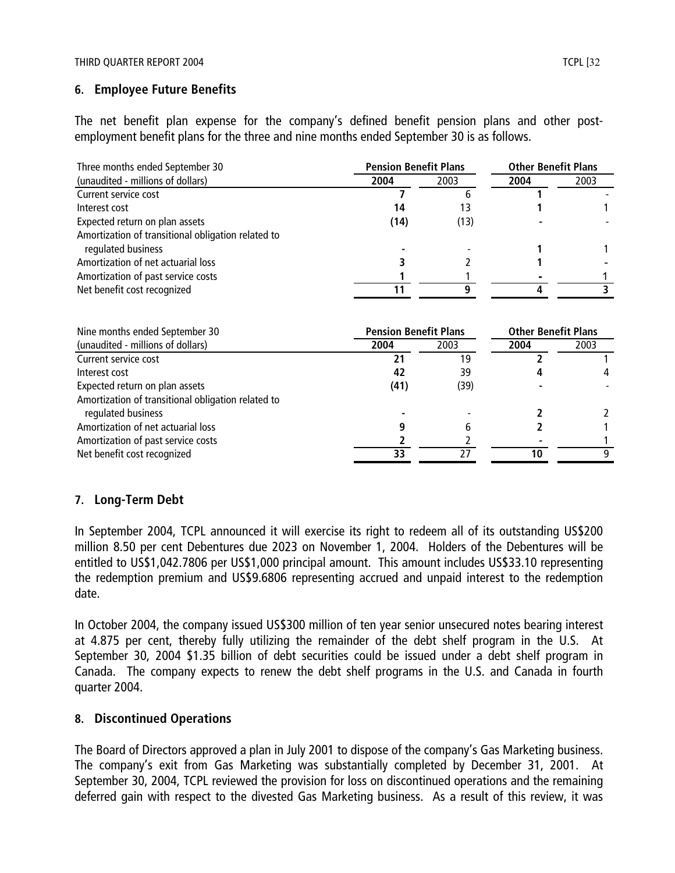## **6. Employee Future Benefits**

The net benefit plan expense for the company's defined benefit pension plans and other postemployment benefit plans for the three and nine months ended September 30 is as follows.

| Three months ended September 30                                          | <b>Pension Benefit Plans</b> |      | <b>Other Benefit Plans</b> |      |
|--------------------------------------------------------------------------|------------------------------|------|----------------------------|------|
| (unaudited - millions of dollars)                                        | 2004                         | 2003 | 2004                       | 2003 |
| Current service cost                                                     |                              | h    |                            |      |
| Interest cost                                                            | 14                           | 13   |                            |      |
| Expected return on plan assets                                           | (14)                         | (13) |                            |      |
| Amortization of transitional obligation related to<br>regulated business |                              |      |                            |      |
| Amortization of net actuarial loss                                       |                              |      |                            |      |
| Amortization of past service costs                                       |                              |      |                            |      |
| Net benefit cost recognized                                              |                              |      |                            |      |
| Nine months ended September 30                                           | <b>Pension Benefit Plans</b> |      | <b>Other Benefit Plans</b> |      |
| (unaudited - millions of dollars)                                        | 2004                         | 2003 | 2004                       | 2003 |
| Curront convice cost                                                     | 11                           | 10   | ּ                          |      |

| (unaudited - millions of dollars)                  | 2004 | <b>2003</b> | 2004 | 2003 |
|----------------------------------------------------|------|-------------|------|------|
| Current service cost                               |      | 19          |      |      |
| Interest cost                                      | 42   | 39          |      |      |
| Expected return on plan assets                     | (41) | (39)        |      |      |
| Amortization of transitional obligation related to |      |             |      |      |
| regulated business                                 |      |             |      |      |
| Amortization of net actuarial loss                 |      |             |      |      |
| Amortization of past service costs                 |      |             |      |      |
| Net benefit cost recognized                        |      | 77          |      |      |
|                                                    |      |             |      |      |

# **7. Long-Term Debt**

In September 2004, TCPL announced it will exercise its right to redeem all of its outstanding US\$200 million 8.50 per cent Debentures due 2023 on November 1, 2004. Holders of the Debentures will be entitled to US\$1,042.7806 per US\$1,000 principal amount. This amount includes US\$33.10 representing the redemption premium and US\$9.6806 representing accrued and unpaid interest to the redemption date.

In October 2004, the company issued US\$300 million of ten year senior unsecured notes bearing interest at 4.875 per cent, thereby fully utilizing the remainder of the debt shelf program in the U.S. At September 30, 2004 \$1.35 billion of debt securities could be issued under a debt shelf program in Canada. The company expects to renew the debt shelf programs in the U.S. and Canada in fourth quarter 2004.

## **8. Discontinued Operations**

The Board of Directors approved a plan in July 2001 to dispose of the company's Gas Marketing business. The company's exit from Gas Marketing was substantially completed by December 31, 2001. At September 30, 2004, TCPL reviewed the provision for loss on discontinued operations and the remaining deferred gain with respect to the divested Gas Marketing business. As a result of this review, it was